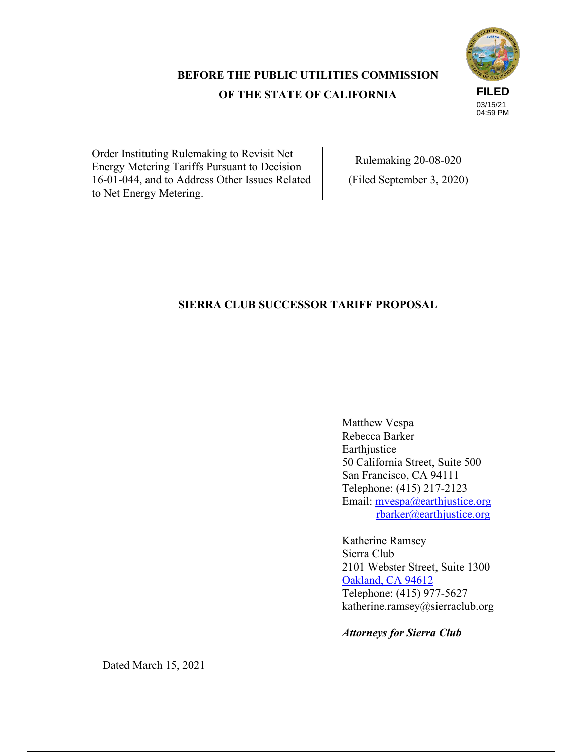# **BEFORE THE PUBLIC UTILITIES COMMISSION OF THE STATE OF CALIFORNIA**



Order Instituting Rulemaking to Revisit Net Energy Metering Tariffs Pursuant to Decision 16-01-044, and to Address Other Issues Related to Net Energy Metering.

Rulemaking 20-08-020 (Filed September 3, 2020)

## **SIERRA CLUB SUCCESSOR TARIFF PROPOSAL**

Matthew Vespa Rebecca Barker Earthjustice 50 California Street, Suite 500 San Francisco, CA 94111 Telephone: (415) 217-2123 Email: mvespa@earthjustice.org rbarker@earthjustice.org

Katherine Ramsey Sierra Club 2101 Webster Street, Suite 1300 Oakland, CA 94612 Telephone: (415) 977-5627 katherine.ramsey@sierraclub.org

*Attorneys for Sierra Club*

Dated March 15, 2021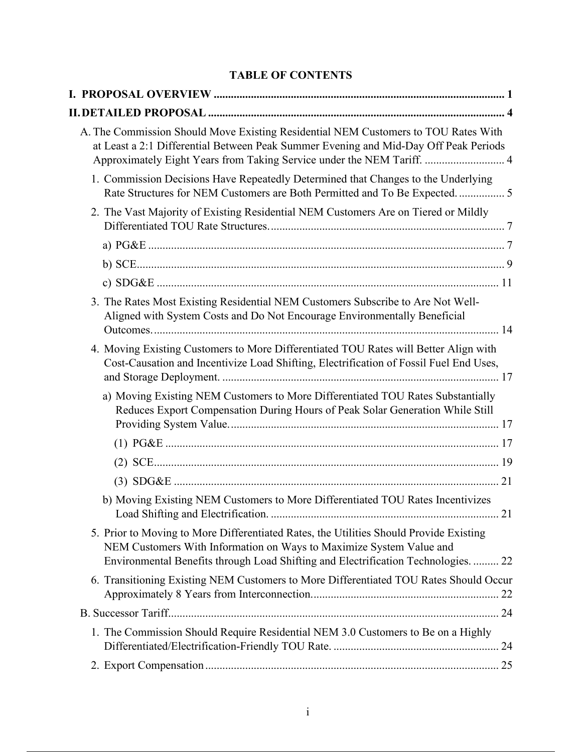## **TABLE OF CONTENTS**

| A. The Commission Should Move Existing Residential NEM Customers to TOU Rates With<br>at Least a 2:1 Differential Between Peak Summer Evening and Mid-Day Off Peak Periods<br>Approximately Eight Years from Taking Service under the NEM Tariff.  4 |
|------------------------------------------------------------------------------------------------------------------------------------------------------------------------------------------------------------------------------------------------------|
| 1. Commission Decisions Have Repeatedly Determined that Changes to the Underlying<br>Rate Structures for NEM Customers are Both Permitted and To Be Expected.  5                                                                                     |
| 2. The Vast Majority of Existing Residential NEM Customers Are on Tiered or Mildly                                                                                                                                                                   |
|                                                                                                                                                                                                                                                      |
|                                                                                                                                                                                                                                                      |
|                                                                                                                                                                                                                                                      |
| 3. The Rates Most Existing Residential NEM Customers Subscribe to Are Not Well-<br>Aligned with System Costs and Do Not Encourage Environmentally Beneficial                                                                                         |
| 4. Moving Existing Customers to More Differentiated TOU Rates will Better Align with<br>Cost-Causation and Incentivize Load Shifting, Electrification of Fossil Fuel End Uses,                                                                       |
| a) Moving Existing NEM Customers to More Differentiated TOU Rates Substantially<br>Reduces Export Compensation During Hours of Peak Solar Generation While Still                                                                                     |
|                                                                                                                                                                                                                                                      |
|                                                                                                                                                                                                                                                      |
|                                                                                                                                                                                                                                                      |
| b) Moving Existing NEM Customers to More Differentiated TOU Rates Incentivizes                                                                                                                                                                       |
| 5. Prior to Moving to More Differentiated Rates, the Utilities Should Provide Existing<br>NEM Customers With Information on Ways to Maximize System Value and<br>Environmental Benefits through Load Shifting and Electrification Technologies.  22  |
| 6. Transitioning Existing NEM Customers to More Differentiated TOU Rates Should Occur                                                                                                                                                                |
|                                                                                                                                                                                                                                                      |
| 1. The Commission Should Require Residential NEM 3.0 Customers to Be on a Highly                                                                                                                                                                     |
|                                                                                                                                                                                                                                                      |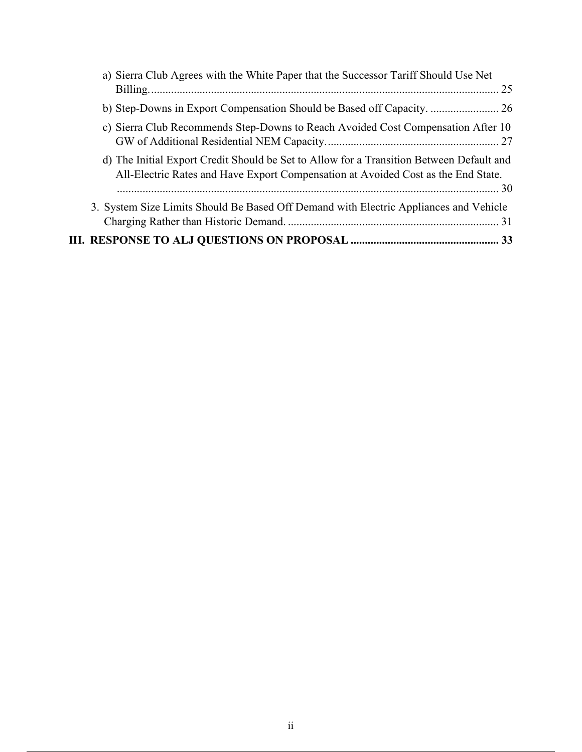| a) Sierra Club Agrees with the White Paper that the Successor Tariff Should Use Net                                                                                           |
|-------------------------------------------------------------------------------------------------------------------------------------------------------------------------------|
|                                                                                                                                                                               |
|                                                                                                                                                                               |
| c) Sierra Club Recommends Step-Downs to Reach Avoided Cost Compensation After 10                                                                                              |
| d) The Initial Export Credit Should be Set to Allow for a Transition Between Default and<br>All-Electric Rates and Have Export Compensation at Avoided Cost as the End State. |
| 3. System Size Limits Should Be Based Off Demand with Electric Appliances and Vehicle                                                                                         |
|                                                                                                                                                                               |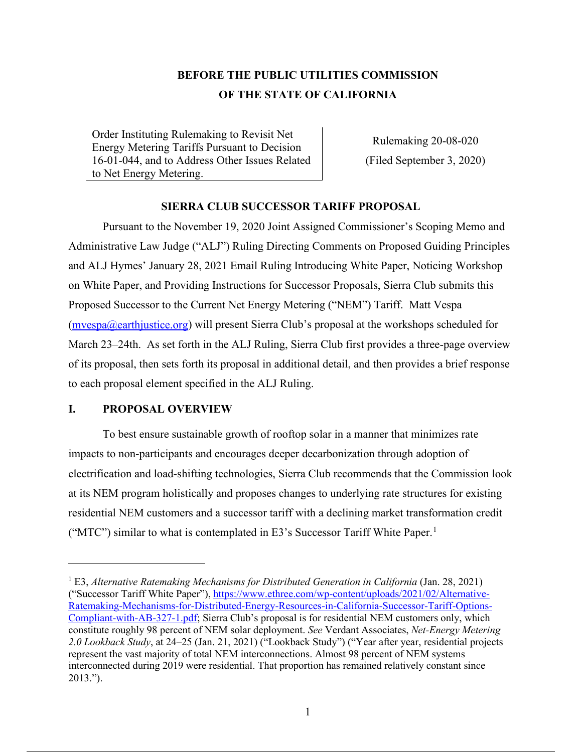# **BEFORE THE PUBLIC UTILITIES COMMISSION OF THE STATE OF CALIFORNIA**

Order Instituting Rulemaking to Revisit Net Energy Metering Tariffs Pursuant to Decision 16-01-044, and to Address Other Issues Related to Net Energy Metering.

Rulemaking 20-08-020 (Filed September 3, 2020)

### **SIERRA CLUB SUCCESSOR TARIFF PROPOSAL**

Pursuant to the November 19, 2020 Joint Assigned Commissioner's Scoping Memo and Administrative Law Judge ("ALJ") Ruling Directing Comments on Proposed Guiding Principles and ALJ Hymes' January 28, 2021 Email Ruling Introducing White Paper, Noticing Workshop on White Paper, and Providing Instructions for Successor Proposals, Sierra Club submits this Proposed Successor to the Current Net Energy Metering ("NEM") Tariff. Matt Vespa (mvespa@earthjustice.org) will present Sierra Club's proposal at the workshops scheduled for March 23–24th. As set forth in the ALJ Ruling, Sierra Club first provides a three-page overview of its proposal, then sets forth its proposal in additional detail, and then provides a brief response to each proposal element specified in the ALJ Ruling.

### **I. PROPOSAL OVERVIEW**

To best ensure sustainable growth of rooftop solar in a manner that minimizes rate impacts to non-participants and encourages deeper decarbonization through adoption of electrification and load-shifting technologies, Sierra Club recommends that the Commission look at its NEM program holistically and proposes changes to underlying rate structures for existing residential NEM customers and a successor tariff with a declining market transformation credit ("MTC") similar to what is contemplated in E3's Successor Tariff White Paper.<sup>1</sup>

<sup>&</sup>lt;sup>1</sup> E3, *Alternative Ratemaking Mechanisms for Distributed Generation in California* (Jan. 28, 2021) ("Successor Tariff White Paper"), https://www.ethree.com/wp-content/uploads/2021/02/Alternative-Ratemaking-Mechanisms-for-Distributed-Energy-Resources-in-California-Successor-Tariff-Options-Compliant-with-AB-327-1.pdf; Sierra Club's proposal is for residential NEM customers only, which constitute roughly 98 percent of NEM solar deployment. *See* Verdant Associates, *Net-Energy Metering 2.0 Lookback Study*, at 24–25 (Jan. 21, 2021) ("Lookback Study") ("Year after year, residential projects represent the vast majority of total NEM interconnections. Almost 98 percent of NEM systems interconnected during 2019 were residential. That proportion has remained relatively constant since 2013.").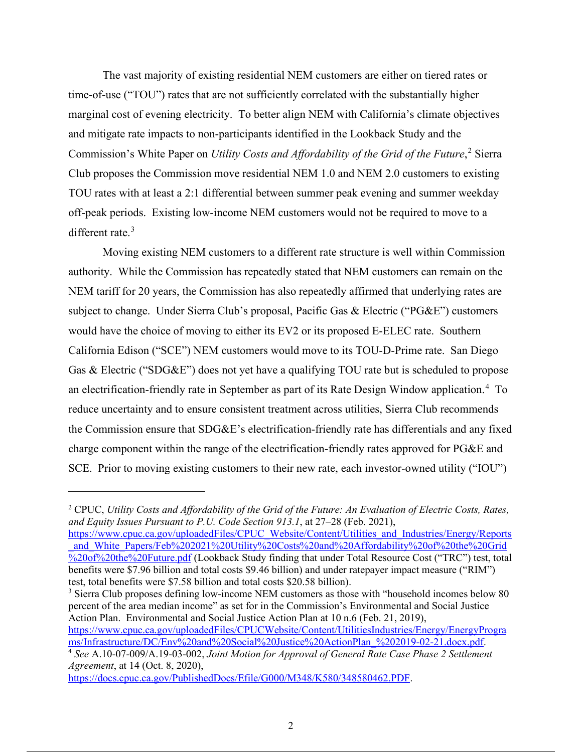The vast majority of existing residential NEM customers are either on tiered rates or time-of-use ("TOU") rates that are not sufficiently correlated with the substantially higher marginal cost of evening electricity. To better align NEM with California's climate objectives and mitigate rate impacts to non-participants identified in the Lookback Study and the Commission's White Paper on *Utility Costs and Affordability of the Grid of the Future*, <sup>2</sup> Sierra Club proposes the Commission move residential NEM 1.0 and NEM 2.0 customers to existing TOU rates with at least a 2:1 differential between summer peak evening and summer weekday off-peak periods. Existing low-income NEM customers would not be required to move to a different rate.<sup>3</sup>

Moving existing NEM customers to a different rate structure is well within Commission authority. While the Commission has repeatedly stated that NEM customers can remain on the NEM tariff for 20 years, the Commission has also repeatedly affirmed that underlying rates are subject to change. Under Sierra Club's proposal, Pacific Gas & Electric ("PG&E") customers would have the choice of moving to either its EV2 or its proposed E-ELEC rate. Southern California Edison ("SCE") NEM customers would move to its TOU-D-Prime rate. San Diego Gas & Electric ("SDG&E") does not yet have a qualifying TOU rate but is scheduled to propose an electrification-friendly rate in September as part of its Rate Design Window application.<sup>4</sup> To reduce uncertainty and to ensure consistent treatment across utilities, Sierra Club recommends the Commission ensure that SDG&E's electrification-friendly rate has differentials and any fixed charge component within the range of the electrification-friendly rates approved for PG&E and SCE. Prior to moving existing customers to their new rate, each investor-owned utility ("IOU")

<sup>3</sup> Sierra Club proposes defining low-income NEM customers as those with "household incomes below 80 percent of the area median income" as set for in the Commission's Environmental and Social Justice Action Plan. Environmental and Social Justice Action Plan at 10 n.6 (Feb. 21, 2019), https://www.cpuc.ca.gov/uploadedFiles/CPUCWebsite/Content/UtilitiesIndustries/Energy/EnergyProgra<br>ms/Infrastructure/DC/Env%20and%20Social%20Justice%20ActionPlan %202019-02-21.docx.pdf. <sup>4</sup> See A.10-07-009/A.19-03-002, Joint Motion for Approval of General Rate Case Phase 2 Settlement *Agreement*, at 14 (Oct. 8, 2020),

https://docs.cpuc.ca.gov/PublishedDocs/Efile/G000/M348/K580/348580462.PDF.

<sup>2</sup> CPUC, *Utility Costs and Affordability of the Grid of the Future: An Evaluation of Electric Costs, Rates, and Equity Issues Pursuant to P.U. Code Section 913.1*, at 27–28 (Feb. 2021),

https://www.cpuc.ca.gov/uploadedFiles/CPUC\_Website/Content/Utilities\_and\_Industries/Energy/Reports and White Papers/Feb%202021%20Utility%20Costs%20and%20Affordability%20of%20the%20Grid %20of%20the%20Future.pdf (Lookback Study finding that under Total Resource Cost ("TRC") test, total benefits were \$7.96 billion and total costs \$9.46 billion) and under ratepayer impact measure ("RIM") test, total benefits were \$7.58 billion and total costs \$20.58 billion).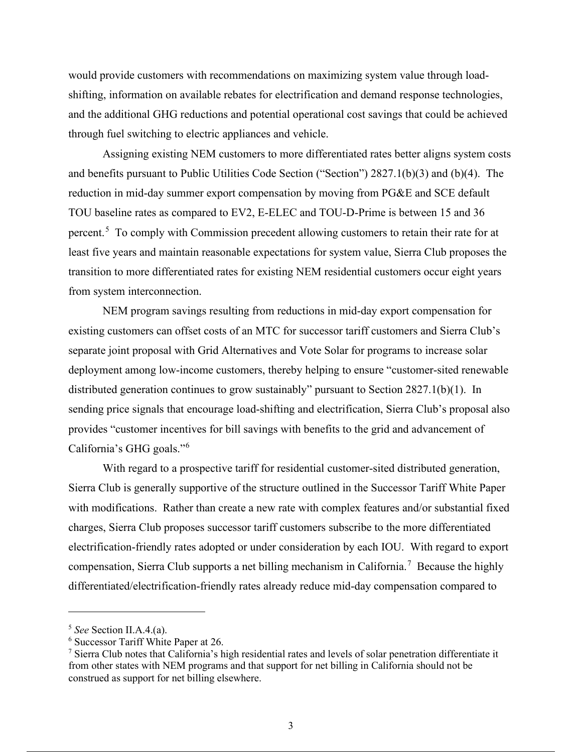would provide customers with recommendations on maximizing system value through loadshifting, information on available rebates for electrification and demand response technologies, and the additional GHG reductions and potential operational cost savings that could be achieved through fuel switching to electric appliances and vehicle.

Assigning existing NEM customers to more differentiated rates better aligns system costs and benefits pursuant to Public Utilities Code Section ("Section") 2827.1(b)(3) and (b)(4). The reduction in mid-day summer export compensation by moving from PG&E and SCE default TOU baseline rates as compared to EV2, E-ELEC and TOU-D-Prime is between 15 and 36 percent.<sup>5</sup> To comply with Commission precedent allowing customers to retain their rate for at least five years and maintain reasonable expectations for system value, Sierra Club proposes the transition to more differentiated rates for existing NEM residential customers occur eight years from system interconnection.

NEM program savings resulting from reductions in mid-day export compensation for existing customers can offset costs of an MTC for successor tariff customers and Sierra Club's separate joint proposal with Grid Alternatives and Vote Solar for programs to increase solar deployment among low-income customers, thereby helping to ensure "customer-sited renewable distributed generation continues to grow sustainably" pursuant to Section 2827.1(b)(1). In sending price signals that encourage load-shifting and electrification, Sierra Club's proposal also provides "customer incentives for bill savings with benefits to the grid and advancement of California's GHG goals."<sup>6</sup>

With regard to a prospective tariff for residential customer-sited distributed generation, Sierra Club is generally supportive of the structure outlined in the Successor Tariff White Paper with modifications. Rather than create a new rate with complex features and/or substantial fixed charges, Sierra Club proposes successor tariff customers subscribe to the more differentiated electrification-friendly rates adopted or under consideration by each IOU. With regard to export compensation, Sierra Club supports a net billing mechanism in California.<sup>7</sup> Because the highly differentiated/electrification-friendly rates already reduce mid-day compensation compared to

<sup>5</sup> *See* Section II.A.4.(a).

<sup>6</sup> Successor Tariff White Paper at 26.

<sup>7</sup> Sierra Club notes that California's high residential rates and levels of solar penetration differentiate it from other states with NEM programs and that support for net billing in California should not be construed as support for net billing elsewhere.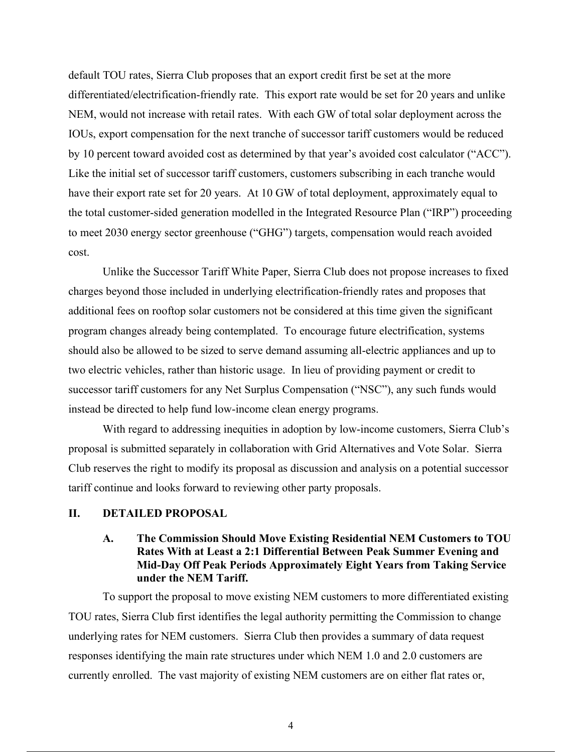default TOU rates, Sierra Club proposes that an export credit first be set at the more differentiated/electrification-friendly rate. This export rate would be set for 20 years and unlike NEM, would not increase with retail rates. With each GW of total solar deployment across the IOUs, export compensation for the next tranche of successor tariff customers would be reduced by 10 percent toward avoided cost as determined by that year's avoided cost calculator ("ACC"). Like the initial set of successor tariff customers, customers subscribing in each tranche would have their export rate set for 20 years. At 10 GW of total deployment, approximately equal to the total customer-sided generation modelled in the Integrated Resource Plan ("IRP") proceeding to meet 2030 energy sector greenhouse ("GHG") targets, compensation would reach avoided cost.

Unlike the Successor Tariff White Paper, Sierra Club does not propose increases to fixed charges beyond those included in underlying electrification-friendly rates and proposes that additional fees on rooftop solar customers not be considered at this time given the significant program changes already being contemplated. To encourage future electrification, systems should also be allowed to be sized to serve demand assuming all-electric appliances and up to two electric vehicles, rather than historic usage. In lieu of providing payment or credit to successor tariff customers for any Net Surplus Compensation ("NSC"), any such funds would instead be directed to help fund low-income clean energy programs.

With regard to addressing inequities in adoption by low-income customers, Sierra Club's proposal is submitted separately in collaboration with Grid Alternatives and Vote Solar. Sierra Club reserves the right to modify its proposal as discussion and analysis on a potential successor tariff continue and looks forward to reviewing other party proposals.

#### **II. DETAILED PROPOSAL**

### **A. The Commission Should Move Existing Residential NEM Customers to TOU Rates With at Least a 2:1 Differential Between Peak Summer Evening and Mid-Day Off Peak Periods Approximately Eight Years from Taking Service under the NEM Tariff.**

To support the proposal to move existing NEM customers to more differentiated existing TOU rates, Sierra Club first identifies the legal authority permitting the Commission to change underlying rates for NEM customers. Sierra Club then provides a summary of data request responses identifying the main rate structures under which NEM 1.0 and 2.0 customers are currently enrolled. The vast majority of existing NEM customers are on either flat rates or,

4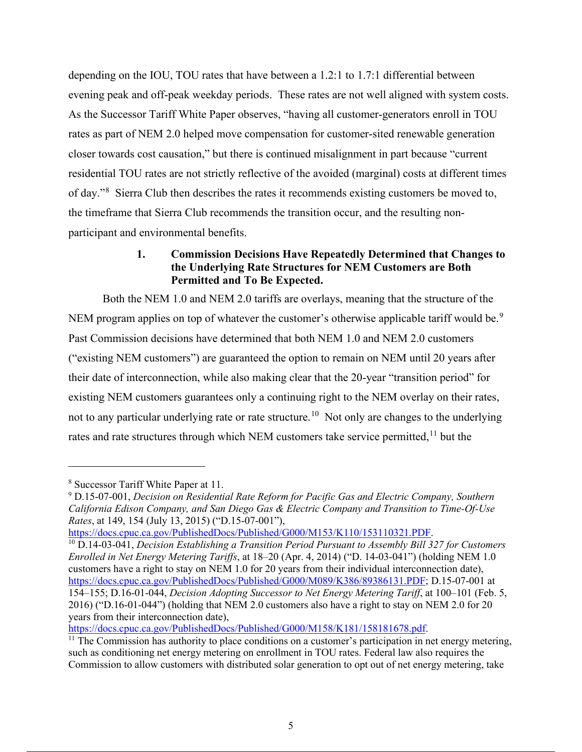depending on the IOU, TOU rates that have between a 1.2:1 to 1.7:1 differential between evening peak and off-peak weekday periods. These rates are not well aligned with system costs. As the Successor Tariff White Paper observes, "having all customer-generators enroll in TOU rates as part of NEM 2.0 helped move compensation for customer-sited renewable generation closer towards cost causation," but there is continued misalignment in part because "current residential TOU rates are not strictly reflective of the avoided (marginal) costs at different times of day."<sup>8</sup> Sierra Club then describes the rates it recommends existing customers be moved to, the timeframe that Sierra Club recommends the transition occur, and the resulting nonparticipant and environmental benefits.

### **1. Commission Decisions Have Repeatedly Determined that Changes to the Underlying Rate Structures for NEM Customers are Both Permitted and To Be Expected.**

Both the NEM 1.0 and NEM 2.0 tariffs are overlays, meaning that the structure of the NEM program applies on top of whatever the customer's otherwise applicable tariff would be.<sup>9</sup> Past Commission decisions have determined that both NEM 1.0 and NEM 2.0 customers ("existing NEM customers") are guaranteed the option to remain on NEM until 20 years after their date of interconnection, while also making clear that the 20-year "transition period" for existing NEM customers guarantees only a continuing right to the NEM overlay on their rates, not to any particular underlying rate or rate structure.<sup>10</sup> Not only are changes to the underlying rates and rate structures through which NEM customers take service permitted,<sup>11</sup> but the

<sup>10</sup> D.14-03-041, *Decision Establishing a Transition Period Pursuant to Assembly Bill 327 for Customers Enrolled in Net Energy Metering Tariffs*, at 18–20 (Apr. 4, 2014) ("D. 14-03-041") (holding NEM 1.0 customers have a right to stay on NEM 1.0 for 20 years from their individual interconnection date), https://docs.cpuc.ca.gov/PublishedDocs/Published/G000/M089/K386/89386131.PDF; D.15-07-001 at 154–155; D.16-01-044, *Decision Adopting Successor to Net Energy Metering Tariff*, at 100–101 (Feb. 5, 2016) ("D.16-01-044") (holding that NEM 2.0 customers also have a right to stay on NEM 2.0 for 20 years from their interconnection date),<br>https://docs.cpuc.ca.gov/PublishedDocs/Published/G000/M158/K181/158181678.pdf.

<sup>8</sup> Successor Tariff White Paper at 11.

<sup>&</sup>lt;sup>9</sup> D.15-07-001, *Decision on Residential Rate Reform for Pacific Gas and Electric Company, Southern California Edison Company, and San Diego Gas & Electric Company and Transition to Time-Of-Use Rates*, at 149, 154 (July 13, 2015) ("D.15-07-001"),<br>https://docs.cpuc.ca.gov/PublishedDocs/Published/G000/M153/K110/153110321.PDF.

 $\frac{11}{11}$  The Commission has authority to place conditions on a customer's participation in net energy metering, such as conditioning net energy metering on enrollment in TOU rates. Federal law also requires the Commission to allow customers with distributed solar generation to opt out of net energy metering, take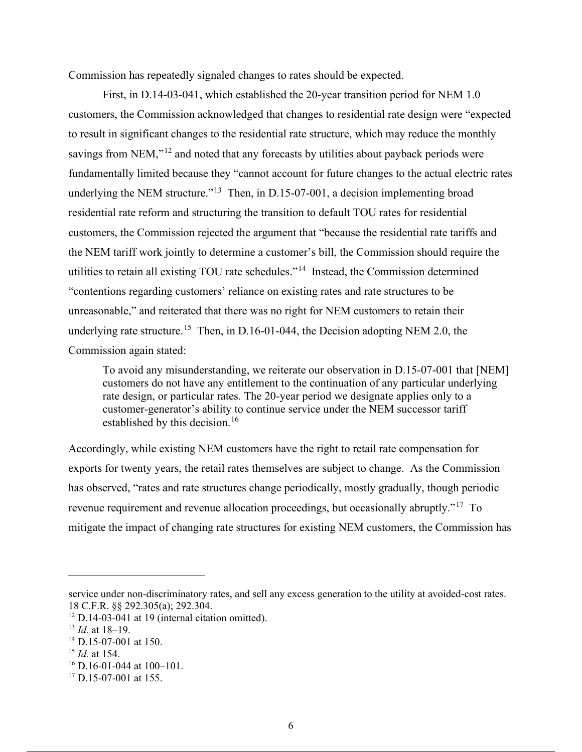Commission has repeatedly signaled changes to rates should be expected.

First, in D.14-03-041, which established the 20-year transition period for NEM 1.0 customers, the Commission acknowledged that changes to residential rate design were "expected to result in significant changes to the residential rate structure, which may reduce the monthly savings from NEM," $^{12}$  and noted that any forecasts by utilities about payback periods were fundamentally limited because they "cannot account for future changes to the actual electric rates underlying the NEM structure."<sup>13</sup> Then, in D.15-07-001, a decision implementing broad residential rate reform and structuring the transition to default TOU rates for residential customers, the Commission rejected the argument that "because the residential rate tariffs and the NEM tariff work jointly to determine a customer's bill, the Commission should require the utilities to retain all existing TOU rate schedules."14 Instead, the Commission determined "contentions regarding customers' reliance on existing rates and rate structures to be unreasonable," and reiterated that there was no right for NEM customers to retain their underlying rate structure.<sup>15</sup> Then, in D.16-01-044, the Decision adopting NEM 2.0, the Commission again stated:

To avoid any misunderstanding, we reiterate our observation in D.15-07-001 that [NEM] customers do not have any entitlement to the continuation of any particular underlying rate design, or particular rates. The 20-year period we designate applies only to a customer-generator's ability to continue service under the NEM successor tariff established by this decision.<sup>16</sup>

Accordingly, while existing NEM customers have the right to retail rate compensation for exports for twenty years, the retail rates themselves are subject to change. As the Commission has observed, "rates and rate structures change periodically, mostly gradually, though periodic revenue requirement and revenue allocation proceedings, but occasionally abruptly."17 To mitigate the impact of changing rate structures for existing NEM customers, the Commission has

service under non-discriminatory rates, and sell any excess generation to the utility at avoided-cost rates. 18 C.F.R. §§ 292.305(a); 292.304.

<sup>12</sup> D.14-03-041 at 19 (internal citation omitted). 13 *Id.* at 18–19.

<sup>14</sup> D.15-07-001 at 150.

<sup>15</sup> *Id.* at 154.

<sup>16</sup> D.16-01-044 at 100–101.

 $17$  D.15-07-001 at 155.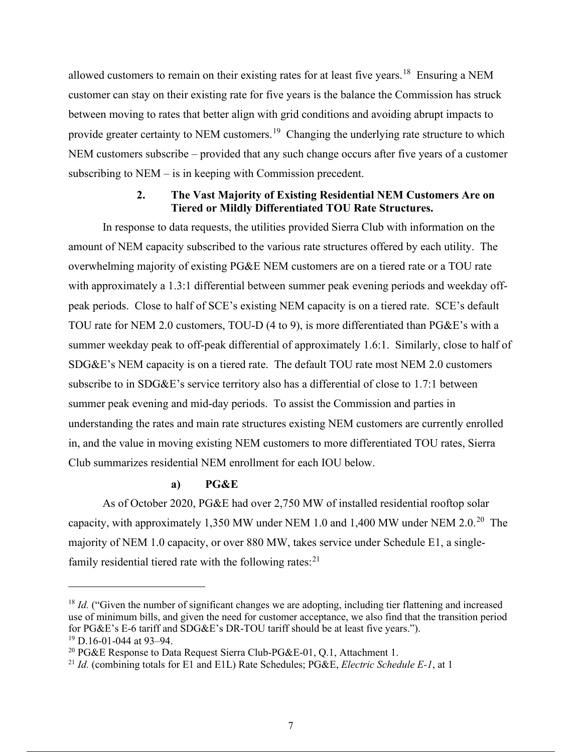allowed customers to remain on their existing rates for at least five years.18 Ensuring a NEM customer can stay on their existing rate for five years is the balance the Commission has struck between moving to rates that better align with grid conditions and avoiding abrupt impacts to provide greater certainty to NEM customers.<sup>19</sup> Changing the underlying rate structure to which NEM customers subscribe – provided that any such change occurs after five years of a customer subscribing to NEM – is in keeping with Commission precedent.

### **2. The Vast Majority of Existing Residential NEM Customers Are on Tiered or Mildly Differentiated TOU Rate Structures.**

In response to data requests, the utilities provided Sierra Club with information on the amount of NEM capacity subscribed to the various rate structures offered by each utility. The overwhelming majority of existing PG&E NEM customers are on a tiered rate or a TOU rate with approximately a 1.3:1 differential between summer peak evening periods and weekday offpeak periods. Close to half of SCE's existing NEM capacity is on a tiered rate. SCE's default TOU rate for NEM 2.0 customers, TOU-D (4 to 9), is more differentiated than PG&E's with a summer weekday peak to off-peak differential of approximately 1.6:1. Similarly, close to half of SDG&E's NEM capacity is on a tiered rate. The default TOU rate most NEM 2.0 customers subscribe to in SDG&E's service territory also has a differential of close to 1.7:1 between summer peak evening and mid-day periods. To assist the Commission and parties in understanding the rates and main rate structures existing NEM customers are currently enrolled in, and the value in moving existing NEM customers to more differentiated TOU rates, Sierra Club summarizes residential NEM enrollment for each IOU below.

### **a) PG&E**

As of October 2020, PG&E had over 2,750 MW of installed residential rooftop solar capacity, with approximately 1,350 MW under NEM 1.0 and 1,400 MW under NEM 2.0.20 The majority of NEM 1.0 capacity, or over 880 MW, takes service under Schedule E1, a singlefamily residential tiered rate with the following rates: $^{21}$ 

<sup>&</sup>lt;sup>18</sup> *Id.* ("Given the number of significant changes we are adopting, including tier flattening and increased use of minimum bills, and given the need for customer acceptance, we also find that the transition period for PG&E's E-6 tariff and SDG&E's DR-TOU tariff should be at least five years.").

<sup>&</sup>lt;sup>19</sup> D.16-01-044 at 93–94.<br><sup>20</sup> PG&E Response to Data Request Sierra Club-PG&E-01, Q.1, Attachment 1.

<sup>&</sup>lt;sup>21</sup> Id. (combining totals for E1 and E1L) Rate Schedules; PG&E, *Electric Schedule E-1*, at 1.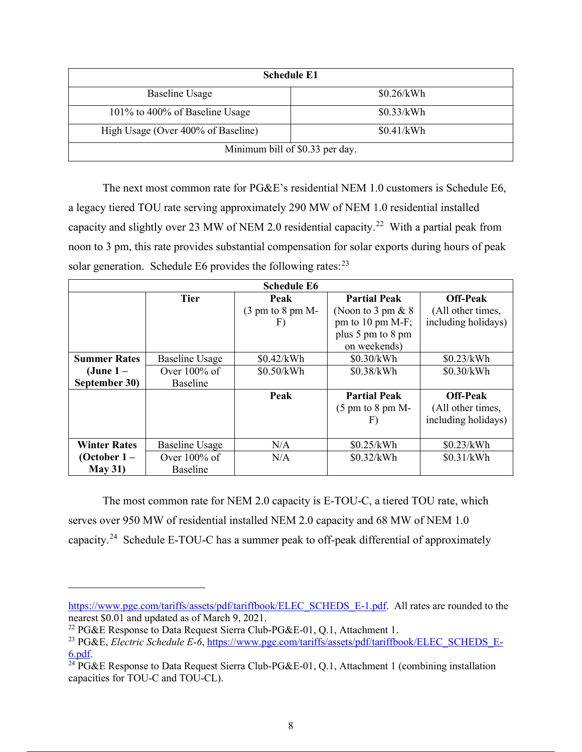| <b>Schedule E1</b>                 |            |  |  |
|------------------------------------|------------|--|--|
| <b>Baseline Usage</b>              | \$0.26/kWh |  |  |
| 101% to 400% of Baseline Usage     | \$0.33/kWh |  |  |
| High Usage (Over 400% of Baseline) | \$0.41/kWh |  |  |
| Minimum bill of \$0.33 per day.    |            |  |  |

The next most common rate for PG&E's residential NEM 1.0 customers is Schedule E6, a legacy tiered TOU rate serving approximately 290 MW of NEM 1.0 residential installed capacity and slightly over 23 MW of NEM 2.0 residential capacity.<sup>22</sup> With a partial peak from noon to 3 pm, this rate provides substantial compensation for solar exports during hours of peak solar generation. Schedule E6 provides the following rates: $^{23}$ 

| <b>Schedule E6</b>  |                       |                                       |                                       |                     |
|---------------------|-----------------------|---------------------------------------|---------------------------------------|---------------------|
|                     | <b>Tier</b>           | Peak                                  | <b>Partial Peak</b>                   | <b>Off-Peak</b>     |
|                     |                       | $(3 \text{ pm to } 8 \text{ pm } M$ - | (Noon to 3 pm $& 8$                   | (All other times,   |
|                     |                       | F)                                    | pm to 10 pm M-F;                      | including holidays) |
|                     |                       |                                       | plus 5 pm to 8 pm                     |                     |
|                     |                       |                                       | on weekends)                          |                     |
| <b>Summer Rates</b> | <b>Baseline Usage</b> | \$0.42/kWh                            | \$0.30/kWh                            | \$0.23/kWh          |
| $(June 1 -$         | Over $100\%$ of       | \$0.50/kWh                            | \$0.38/kWh                            | \$0.30/kWh          |
| September 30)       | <b>Baseline</b>       |                                       |                                       |                     |
|                     |                       | Peak                                  | <b>Partial Peak</b>                   | <b>Off-Peak</b>     |
|                     |                       |                                       | $(5 \text{ pm to } 8 \text{ pm } M$ - | (All other times,   |
|                     |                       |                                       | F)                                    | including holidays) |
|                     |                       |                                       |                                       |                     |
| <b>Winter Rates</b> | <b>Baseline Usage</b> | N/A                                   | \$0.25/kWh                            | \$0.23/kWh          |
| (October $1-$       | Over $100\%$ of       | N/A                                   | \$0.32/kWh                            | \$0.31/kWh          |
| <b>May 31)</b>      | <b>Baseline</b>       |                                       |                                       |                     |

The most common rate for NEM 2.0 capacity is E-TOU-C, a tiered TOU rate, which serves over 950 MW of residential installed NEM 2.0 capacity and 68 MW of NEM 1.0 capacity.24 Schedule E-TOU-C has a summer peak to off-peak differential of approximately

https://www.pge.com/tariffs/assets/pdf/tariffbook/ELEC\_SCHEDS\_E-1.pdf. All rates are rounded to the nearest \$0.01 and updated as of March 9, 2021.

<sup>&</sup>lt;sup>22</sup> PG&E Response to Data Request Sierra Club-PG&E-01, Q.1, Attachment 1.

<sup>&</sup>lt;sup>23</sup> PG&E, *Electric Schedule E-6*, https://www.pge.com/tariffs/assets/pdf/tariffbook/ELEC\_SCHEDS\_E- $\frac{6. \text{pdf}}{24}$  PG&E Response to Data Request Sierra Club-PG&E-01, Q.1, Attachment 1 (combining installation

capacities for TOU-C and TOU-CL).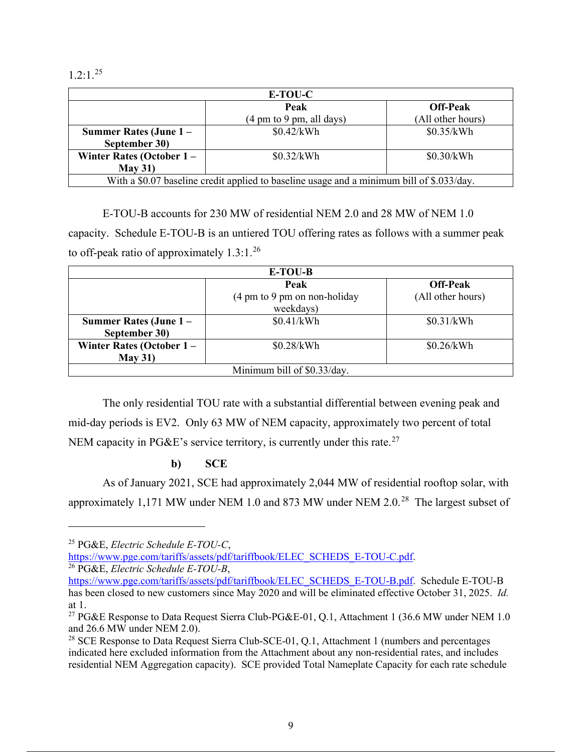$1.2:1.^{25}$ 

| E-TOU-C                                                                                   |                                                     |                   |  |
|-------------------------------------------------------------------------------------------|-----------------------------------------------------|-------------------|--|
|                                                                                           | Peak                                                | <b>Off-Peak</b>   |  |
|                                                                                           | $(4 \text{ pm to } 9 \text{ pm}, \text{ all days})$ | (All other hours) |  |
| Summer Rates (June $1 -$                                                                  | \$0.42/kWh                                          | \$0.35/kWh        |  |
| September 30)                                                                             |                                                     |                   |  |
| Winter Rates (October $1 -$                                                               | \$0.32/kWh                                          | \$0.30/kWh        |  |
| May 31)                                                                                   |                                                     |                   |  |
| With a \$0.07 baseline credit applied to baseline usage and a minimum bill of \$.033/day. |                                                     |                   |  |

E-TOU-B accounts for 230 MW of residential NEM 2.0 and 28 MW of NEM 1.0 capacity. Schedule E-TOU-B is an untiered TOU offering rates as follows with a summer peak to off-peak ratio of approximately  $1.3:1.^{26}$ 

| E-TOU-B                     |                              |                   |  |  |
|-----------------------------|------------------------------|-------------------|--|--|
|                             | Peak                         | <b>Off-Peak</b>   |  |  |
|                             | (4 pm to 9 pm on non-holiday | (All other hours) |  |  |
|                             | weekdays)                    |                   |  |  |
| Summer Rates (June 1 –      | \$0.41/kWh                   | \$0.31/kWh        |  |  |
| September 30)               |                              |                   |  |  |
| Winter Rates (October $1 -$ | \$0.28/kWh                   | \$0.26/kWh        |  |  |
| May 31)                     |                              |                   |  |  |
| Minimum bill of \$0.33/day. |                              |                   |  |  |

The only residential TOU rate with a substantial differential between evening peak and mid-day periods is EV2. Only 63 MW of NEM capacity, approximately two percent of total NEM capacity in PG&E's service territory, is currently under this rate.<sup>27</sup>

### **b) SCE**

As of January 2021, SCE had approximately 2,044 MW of residential rooftop solar, with approximately 1,171 MW under NEM 1.0 and 873 MW under NEM 2.0.<sup>28</sup> The largest subset of

<sup>25</sup> PG&E, *Electric Schedule E-TOU-C*,

https://www.pge.com/tariffs/assets/pdf/tariffbook/ELEC\_SCHEDS\_E-TOU-C.pdf. 26 PG&E, *Electric Schedule E-TOU-B*,

https://www.pge.com/tariffs/assets/pdf/tariffbook/ELEC\_SCHEDS\_E-TOU-B.pdf. Schedule E-TOU-B has been closed to new customers since May 2020 and will be eliminated effective October 31, 2025. *Id.* at 1.

<sup>&</sup>lt;sup>27</sup> PG&E Response to Data Request Sierra Club-PG&E-01, Q.1, Attachment 1 (36.6 MW under NEM 1.0 and 26.6 MW under NEM 2.0).

 $28$  SCE Response to Data Request Sierra Club-SCE-01, Q.1, Attachment 1 (numbers and percentages indicated here excluded information from the Attachment about any non-residential rates, and includes residential NEM Aggregation capacity). SCE provided Total Nameplate Capacity for each rate schedule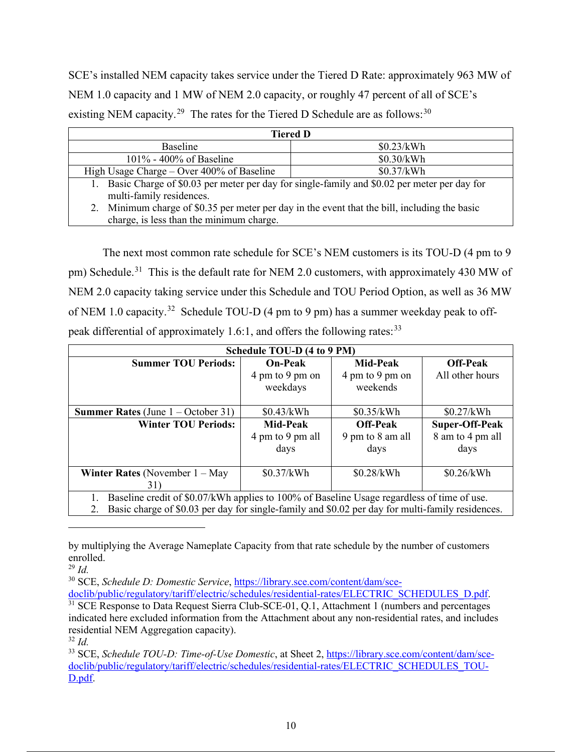SCE's installed NEM capacity takes service under the Tiered D Rate: approximately 963 MW of NEM 1.0 capacity and 1 MW of NEM 2.0 capacity, or roughly 47 percent of all of SCE's existing NEM capacity.<sup>29</sup> The rates for the Tiered D Schedule are as follows:<sup>30</sup>

| <b>Tiered D</b>                                                                                  |            |  |  |
|--------------------------------------------------------------------------------------------------|------------|--|--|
| <b>Baseline</b>                                                                                  | \$0.23/kWh |  |  |
| $101\%$ - 400% of Baseline                                                                       | \$0.30/kWh |  |  |
| High Usage Charge – Over $400\%$ of Baseline                                                     | \$0.37/kWh |  |  |
| Basic Charge of \$0.03 per meter per day for single-family and \$0.02 per meter per day for      |            |  |  |
| multi-family residences.                                                                         |            |  |  |
| Minimum charge of \$0.35 per meter per day in the event that the bill, including the basic<br>2. |            |  |  |
| charge, is less than the minimum charge.                                                         |            |  |  |

The next most common rate schedule for SCE's NEM customers is its TOU-D (4 pm to 9 pm) Schedule.<sup>31</sup> This is the default rate for NEM 2.0 customers, with approximately 430 MW of NEM 2.0 capacity taking service under this Schedule and TOU Period Option, as well as 36 MW of NEM 1.0 capacity.<sup>32</sup> Schedule TOU-D (4 pm to 9 pm) has a summer weekday peak to offpeak differential of approximately 1.6:1, and offers the following rates:  $33$ 

| Schedule TOU-D (4 to 9 PM)                                                                       |                  |                  |                       |  |
|--------------------------------------------------------------------------------------------------|------------------|------------------|-----------------------|--|
| <b>Summer TOU Periods:</b>                                                                       | <b>On-Peak</b>   | <b>Mid-Peak</b>  | <b>Off-Peak</b>       |  |
|                                                                                                  | 4 pm to 9 pm on  | 4 pm to 9 pm on  | All other hours       |  |
|                                                                                                  | weekdays         | weekends         |                       |  |
|                                                                                                  |                  |                  |                       |  |
| <b>Summer Rates</b> (June $1 -$ October 31)                                                      | \$0.43/kWh       | \$0.35/kWh       | \$0.27/kWh            |  |
| <b>Winter TOU Periods:</b>                                                                       | <b>Mid-Peak</b>  | <b>Off-Peak</b>  | <b>Super-Off-Peak</b> |  |
|                                                                                                  | 4 pm to 9 pm all | 9 pm to 8 am all | 8 am to 4 pm all      |  |
|                                                                                                  | days             | days             | days                  |  |
|                                                                                                  |                  |                  |                       |  |
| <b>Winter Rates</b> (November $1 - May$                                                          | \$0.37/kWh       | \$0.28/kWh       | \$0.26/kWh            |  |
| 31)                                                                                              |                  |                  |                       |  |
| Baseline credit of \$0.07/kWh applies to 100% of Baseline Usage regardless of time of use.<br>1. |                  |                  |                       |  |

2. Basic charge of \$0.03 per day for single-family and \$0.02 per day for multi-family residences.

<sup>30</sup> SCE, *Schedule D: Domestic Service*, <u>https://library.sce.com/content/dam/sce-</u><br>doclib/public/regulatory/tariff/electric/schedules/residential-rates/ELECTRIC SCHEDULES D.pdf.

by multiplying the Average Nameplate Capacity from that rate schedule by the number of customers enrolled.

<sup>29</sup> *Id.* 

 $31$  SCE Response to Data Request Sierra Club-SCE-01, Q.1, Attachment 1 (numbers and percentages indicated here excluded information from the Attachment about any non-residential rates, and includes residential NEM Aggregation capacity).

<sup>32</sup> *Id.*

<sup>33</sup> SCE, *Schedule TOU-D: Time-of-Use Domestic*, at Sheet 2, https://library.sce.com/content/dam/scedoclib/public/regulatory/tariff/electric/schedules/residential-rates/ELECTRIC\_SCHEDULES\_TOU-D.pdf.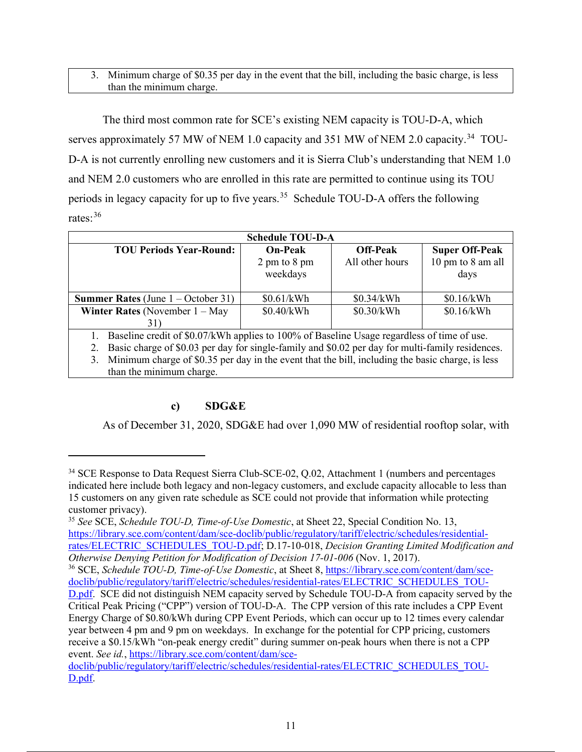#### 3. Minimum charge of \$0.35 per day in the event that the bill, including the basic charge, is less than the minimum charge.

The third most common rate for SCE's existing NEM capacity is TOU-D-A, which serves approximately 57 MW of NEM 1.0 capacity and 351 MW of NEM 2.0 capacity.<sup>34</sup> TOU-D-A is not currently enrolling new customers and it is Sierra Club's understanding that NEM 1.0 and NEM 2.0 customers who are enrolled in this rate are permitted to continue using its TOU periods in legacy capacity for up to five years.<sup>35</sup> Schedule TOU-D-A offers the following rates: 36

| <b>Schedule TOU-D-A</b>                                                                                |                                  |                 |                   |  |  |
|--------------------------------------------------------------------------------------------------------|----------------------------------|-----------------|-------------------|--|--|
| <b>Super Off-Peak</b><br><b>TOU Periods Year-Round:</b><br><b>On-Peak</b><br><b>Off-Peak</b>           |                                  |                 |                   |  |  |
|                                                                                                        | $2 \text{ pm}$ to $8 \text{ pm}$ | All other hours | 10 pm to 8 am all |  |  |
|                                                                                                        | weekdays                         |                 | days              |  |  |
|                                                                                                        |                                  |                 |                   |  |  |
| <b>Summer Rates</b> (June $1 -$ October 31)                                                            | \$0.61/kWh                       | \$0.34/kWh      | \$0.16/kWh        |  |  |
| <b>Winter Rates</b> (November $1 - May$                                                                | \$0.40/kWh                       | \$0.30/kWh      | \$0.16/kWh        |  |  |
| 31)                                                                                                    |                                  |                 |                   |  |  |
| Baseline credit of \$0.07/kWh applies to 100% of Baseline Usage regardless of time of use.             |                                  |                 |                   |  |  |
| Basic charge of \$0.03 per day for single-family and \$0.02 per day for multi-family residences.<br>2. |                                  |                 |                   |  |  |
| Minimum charge of \$0.35 per day in the event that the bill, including the basic charge, is less<br>3. |                                  |                 |                   |  |  |
| than the minimum charge.                                                                               |                                  |                 |                   |  |  |

## **c) SDG&E**

As of December 31, 2020, SDG&E had over 1,090 MW of residential rooftop solar, with

<sup>&</sup>lt;sup>34</sup> SCE Response to Data Request Sierra Club-SCE-02, Q.02, Attachment 1 (numbers and percentages indicated here include both legacy and non-legacy customers, and exclude capacity allocable to less than 15 customers on any given rate schedule as SCE could not provide that information while protecting customer privacy).

<sup>35</sup> *See* SCE, *Schedule TOU-D, Time-of-Use Domestic*, at Sheet 22, Special Condition No. 13, https://library.sce.com/content/dam/sce-doclib/public/regulatory/tariff/electric/schedules/residentialrates/ELECTRIC\_SCHEDULES\_TOU-D.pdf; D.17-10-018, *Decision Granting Limited Modification and Otherwise Denying Petition for Modification of Decision 17-01-006* (Nov. 1, 2017).

<sup>36</sup> SCE, *Schedule TOU-D, Time-of-Use Domestic*, at Sheet 8, https://library.sce.com/content/dam/scedoclib/public/regulatory/tariff/electric/schedules/residential-rates/ELECTRIC\_SCHEDULES\_TOU-

D.pdf. SCE did not distinguish NEM capacity served by Schedule TOU-D-A from capacity served by the Critical Peak Pricing ("CPP") version of TOU-D-A. The CPP version of this rate includes a CPP Event Energy Charge of \$0.80/kWh during CPP Event Periods, which can occur up to 12 times every calendar year between 4 pm and 9 pm on weekdays. In exchange for the potential for CPP pricing, customers receive a \$0.15/kWh "on-peak energy credit" during summer on-peak hours when there is not a CPP event. *See id.*, https://library.sce.com/content/dam/sce-

doclib/public/regulatory/tariff/electric/schedules/residential-rates/ELECTRIC\_SCHEDULES\_TOU-D.pdf.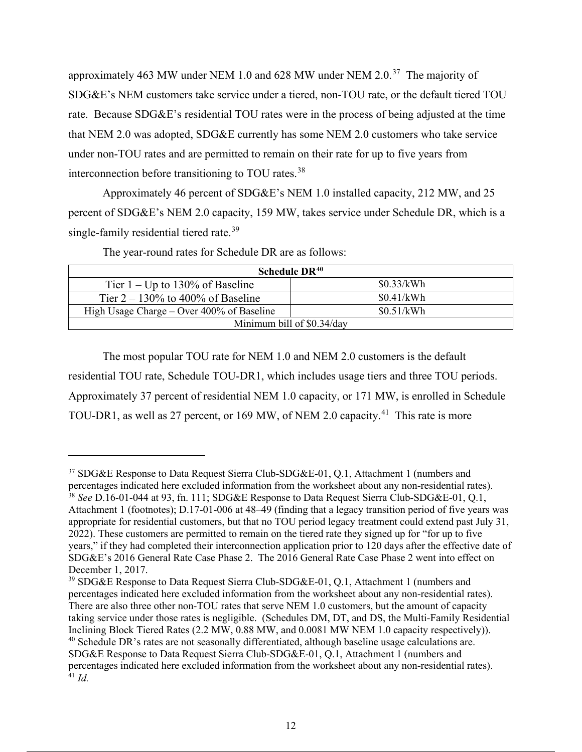approximately 463 MW under NEM 1.0 and 628 MW under NEM 2.0.<sup>37</sup> The majority of SDG&E's NEM customers take service under a tiered, non-TOU rate, or the default tiered TOU rate. Because SDG&E's residential TOU rates were in the process of being adjusted at the time that NEM 2.0 was adopted, SDG&E currently has some NEM 2.0 customers who take service under non-TOU rates and are permitted to remain on their rate for up to five years from interconnection before transitioning to TOU rates.<sup>38</sup>

Approximately 46 percent of SDG&E's NEM 1.0 installed capacity, 212 MW, and 25 percent of SDG&E's NEM 2.0 capacity, 159 MW, takes service under Schedule DR, which is a single-family residential tiered rate.<sup>39</sup>

| Schedule DR <sup>40</sup>                       |            |  |  |  |
|-------------------------------------------------|------------|--|--|--|
| \$0.33/kWh<br>Tier $1 - Up$ to 130% of Baseline |            |  |  |  |
| Tier $2 - 130\%$ to 400% of Baseline            | \$0.41/kWh |  |  |  |
| High Usage Charge – Over $400\%$ of Baseline    | \$0.51/kWh |  |  |  |
| Minimum bill of \$0.34/day                      |            |  |  |  |

The year-round rates for Schedule DR are as follows:

The most popular TOU rate for NEM 1.0 and NEM 2.0 customers is the default residential TOU rate, Schedule TOU-DR1, which includes usage tiers and three TOU periods. Approximately 37 percent of residential NEM 1.0 capacity, or 171 MW, is enrolled in Schedule TOU-DR1, as well as 27 percent, or 169 MW, of NEM 2.0 capacity.<sup>41</sup> This rate is more

<sup>&</sup>lt;sup>37</sup> SDG&E Response to Data Request Sierra Club-SDG&E-01, Q.1, Attachment 1 (numbers and percentages indicated here excluded information from the worksheet about any non-residential rates). <sup>38</sup> *See* D.16-01-044 at 93, fn. 111; SDG&E Response to Data Request Sierra Club-SDG&E-01, Q.1, Attachment 1 (footnotes); D.17-01-006 at 48–49 (finding that a legacy transition period of five years was appropriate for residential customers, but that no TOU period legacy treatment could extend past July 31, 2022). These customers are permitted to remain on the tiered rate they signed up for "for up to five

years," if they had completed their interconnection application prior to 120 days after the effective date of SDG&E's 2016 General Rate Case Phase 2. The 2016 General Rate Case Phase 2 went into effect on December 1, 2017.

<sup>&</sup>lt;sup>39</sup> SDG&E Response to Data Request Sierra Club-SDG&E-01, Q.1, Attachment 1 (numbers and percentages indicated here excluded information from the worksheet about any non-residential rates). There are also three other non-TOU rates that serve NEM 1.0 customers, but the amount of capacity taking service under those rates is negligible. (Schedules DM, DT, and DS, the Multi-Family Residential Inclining Block Tiered Rates (2.2 MW, 0.88 MW, and 0.0081 MW NEM 1.0 capacity respectively)). <sup>40</sup> Schedule DR's rates are not seasonally differentiated, although baseline usage calculations are. SDG&E Response to Data Request Sierra Club-SDG&E-01, Q.1, Attachment 1 (numbers and percentages indicated here excluded information from the worksheet about any non-residential rates). <sup>41</sup> *Id.*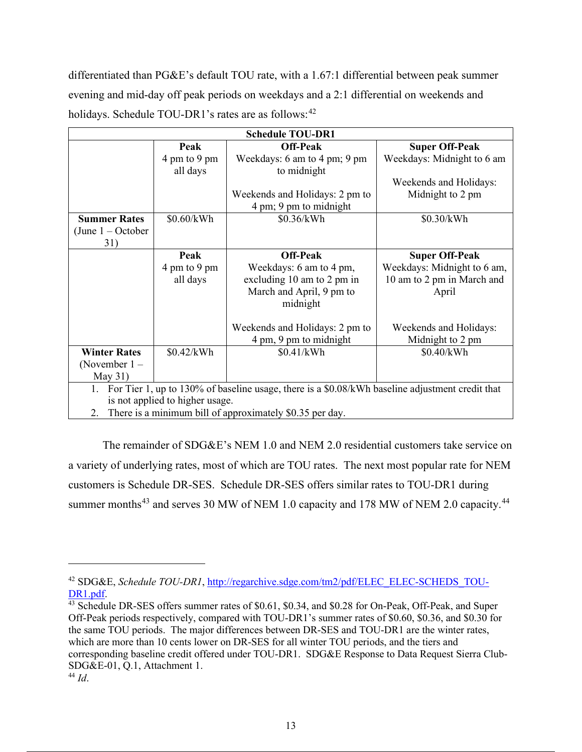differentiated than PG&E's default TOU rate, with a 1.67:1 differential between peak summer evening and mid-day off peak periods on weekdays and a 2:1 differential on weekends and holidays. Schedule TOU-DR1's rates are as follows: $42$ 

| <b>Schedule TOU-DR1</b>                                                                               |              |                                |                             |  |  |
|-------------------------------------------------------------------------------------------------------|--------------|--------------------------------|-----------------------------|--|--|
|                                                                                                       | Peak         | <b>Off-Peak</b>                | <b>Super Off-Peak</b>       |  |  |
|                                                                                                       | 4 pm to 9 pm | Weekdays: 6 am to 4 pm; 9 pm   | Weekdays: Midnight to 6 am  |  |  |
|                                                                                                       | all days     | to midnight                    |                             |  |  |
|                                                                                                       |              |                                | Weekends and Holidays:      |  |  |
|                                                                                                       |              | Weekends and Holidays: 2 pm to | Midnight to 2 pm            |  |  |
|                                                                                                       |              | 4 pm; 9 pm to midnight         |                             |  |  |
| <b>Summer Rates</b>                                                                                   | \$0.60/kWh   | \$0.36/kWh                     | \$0.30/kWh                  |  |  |
| (June $1 -$ October                                                                                   |              |                                |                             |  |  |
| 31)                                                                                                   |              |                                |                             |  |  |
|                                                                                                       | Peak         | <b>Off-Peak</b>                | <b>Super Off-Peak</b>       |  |  |
|                                                                                                       | 4 pm to 9 pm | Weekdays: 6 am to 4 pm,        | Weekdays: Midnight to 6 am, |  |  |
|                                                                                                       | all days     | excluding 10 am to 2 pm in     | 10 am to 2 pm in March and  |  |  |
|                                                                                                       |              | March and April, 9 pm to       | April                       |  |  |
|                                                                                                       |              | midnight                       |                             |  |  |
|                                                                                                       |              |                                |                             |  |  |
|                                                                                                       |              | Weekends and Holidays: 2 pm to | Weekends and Holidays:      |  |  |
|                                                                                                       |              | 4 pm, 9 pm to midnight         | Midnight to 2 pm            |  |  |
| <b>Winter Rates</b>                                                                                   | \$0.42/kWh   | \$0.41/kWh                     | \$0.40/kWh                  |  |  |
| (November $1 -$                                                                                       |              |                                |                             |  |  |
| May $31)$                                                                                             |              |                                |                             |  |  |
| For Tier 1, up to 130% of baseline usage, there is a \$0.08/kWh baseline adjustment credit that<br>1. |              |                                |                             |  |  |
| is not applied to higher usage.                                                                       |              |                                |                             |  |  |
| There is a minimum bill of approximately \$0.35 per day.<br>2.                                        |              |                                |                             |  |  |

The remainder of SDG&E's NEM 1.0 and NEM 2.0 residential customers take service on a variety of underlying rates, most of which are TOU rates. The next most popular rate for NEM customers is Schedule DR-SES. Schedule DR-SES offers similar rates to TOU-DR1 during summer months<sup>43</sup> and serves 30 MW of NEM 1.0 capacity and 178 MW of NEM 2.0 capacity.<sup>44</sup>

<sup>42</sup> SDG&E, *Schedule TOU-DR1*, http://regarchive.sdge.com/tm2/pdf/ELEC\_ELEC-SCHEDS\_TOU-DR1.pdf.<br><sup>43</sup> Schedule DR-SES offers summer rates of \$0.61, \$0.34, and \$0.28 for On-Peak, Off-Peak, and Super

Off-Peak periods respectively, compared with TOU-DR1's summer rates of \$0.60, \$0.36, and \$0.30 for the same TOU periods. The major differences between DR-SES and TOU-DR1 are the winter rates, which are more than 10 cents lower on DR-SES for all winter TOU periods, and the tiers and corresponding baseline credit offered under TOU-DR1. SDG&E Response to Data Request Sierra Club-SDG&E-01, Q.1, Attachment 1. <sup>44</sup> *Id*.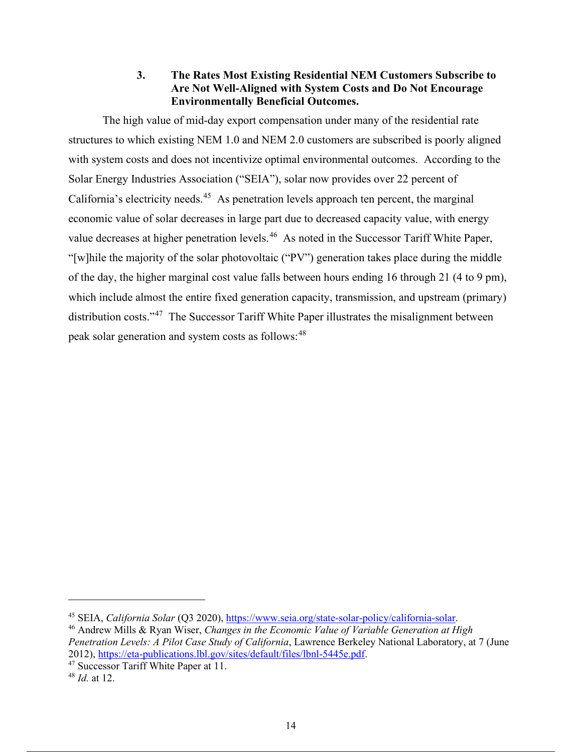### **3. The Rates Most Existing Residential NEM Customers Subscribe to Are Not Well-Aligned with System Costs and Do Not Encourage Environmentally Beneficial Outcomes.**

The high value of mid-day export compensation under many of the residential rate structures to which existing NEM 1.0 and NEM 2.0 customers are subscribed is poorly aligned with system costs and does not incentivize optimal environmental outcomes. According to the Solar Energy Industries Association ("SEIA"), solar now provides over 22 percent of California's electricity needs.<sup>45</sup> As penetration levels approach ten percent, the marginal economic value of solar decreases in large part due to decreased capacity value, with energy value decreases at higher penetration levels.<sup>46</sup> As noted in the Successor Tariff White Paper, "[w]hile the majority of the solar photovoltaic ("PV") generation takes place during the middle of the day, the higher marginal cost value falls between hours ending 16 through 21 (4 to 9 pm), which include almost the entire fixed generation capacity, transmission, and upstream (primary) distribution costs."<sup>47</sup> The Successor Tariff White Paper illustrates the misalignment between peak solar generation and system costs as follows:<sup>48</sup>

<sup>45</sup> SEIA, *California Solar* (Q3 2020), https://www.seia.org/state-solar-policy/california-solar. 46 Andrew Mills & Ryan Wiser, *Changes in the Economic Value of Variable Generation at High* 

*Penetration Levels: A Pilot Case Study of California*, Lawrence Berkeley National Laboratory, at 7 (June 2012), https://eta-publications.lbl.gov/sites/default/files/lbnl-5445e.pdf. 47 Successor Tariff White Paper at 11.

<sup>48</sup> *Id.* at 12.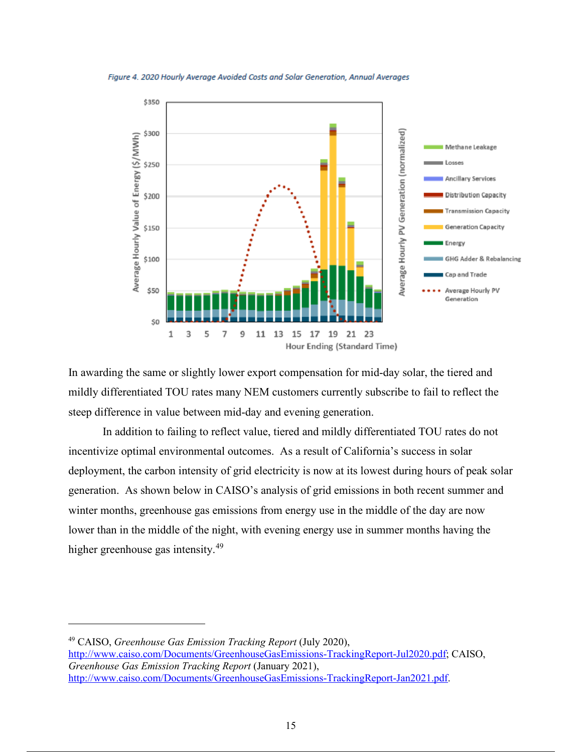

Figure 4. 2020 Hourly Average Avoided Costs and Solar Generation, Annual Averages

In awarding the same or slightly lower export compensation for mid-day solar, the tiered and mildly differentiated TOU rates many NEM customers currently subscribe to fail to reflect the steep difference in value between mid-day and evening generation.

In addition to failing to reflect value, tiered and mildly differentiated TOU rates do not incentivize optimal environmental outcomes. As a result of California's success in solar deployment, the carbon intensity of grid electricity is now at its lowest during hours of peak solar generation. As shown below in CAISO's analysis of grid emissions in both recent summer and winter months, greenhouse gas emissions from energy use in the middle of the day are now lower than in the middle of the night, with evening energy use in summer months having the higher greenhouse gas intensity.<sup>49</sup>

<sup>49</sup> CAISO, *Greenhouse Gas Emission Tracking Report* (July 2020), http://www.caiso.com/Documents/GreenhouseGasEmissions-TrackingReport-Jul2020.pdf; CAISO, *Greenhouse Gas Emission Tracking Report* (January 2021), http://www.caiso.com/Documents/GreenhouseGasEmissions-TrackingReport-Jan2021.pdf.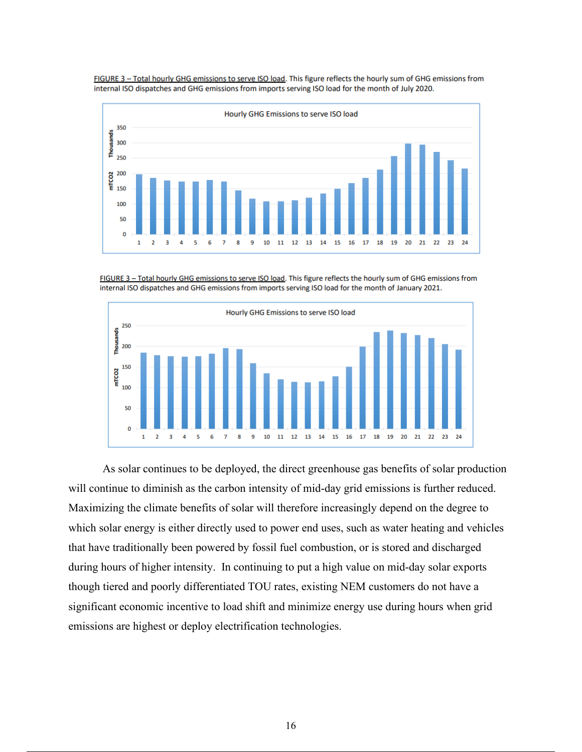FIGURE 3 - Total hourly GHG emissions to serve ISO load. This figure reflects the hourly sum of GHG emissions from internal ISO dispatches and GHG emissions from imports serving ISO load for the month of July 2020.



FIGURE 3 - Total hourly GHG emissions to serve ISO load. This figure reflects the hourly sum of GHG emissions from internal ISO dispatches and GHG emissions from imports serving ISO load for the month of January 2021.



As solar continues to be deployed, the direct greenhouse gas benefits of solar production will continue to diminish as the carbon intensity of mid-day grid emissions is further reduced. Maximizing the climate benefits of solar will therefore increasingly depend on the degree to which solar energy is either directly used to power end uses, such as water heating and vehicles that have traditionally been powered by fossil fuel combustion, or is stored and discharged during hours of higher intensity. In continuing to put a high value on mid-day solar exports though tiered and poorly differentiated TOU rates, existing NEM customers do not have a significant economic incentive to load shift and minimize energy use during hours when grid emissions are highest or deploy electrification technologies.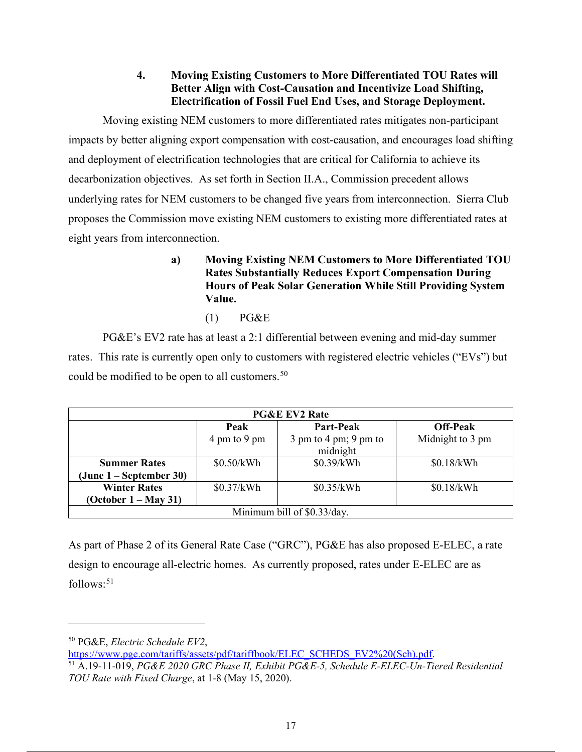### **4. Moving Existing Customers to More Differentiated TOU Rates will Better Align with Cost-Causation and Incentivize Load Shifting, Electrification of Fossil Fuel End Uses, and Storage Deployment.**

Moving existing NEM customers to more differentiated rates mitigates non-participant impacts by better aligning export compensation with cost-causation, and encourages load shifting and deployment of electrification technologies that are critical for California to achieve its decarbonization objectives. As set forth in Section II.A., Commission precedent allows underlying rates for NEM customers to be changed five years from interconnection. Sierra Club proposes the Commission move existing NEM customers to existing more differentiated rates at eight years from interconnection.

- **a) Moving Existing NEM Customers to More Differentiated TOU Rates Substantially Reduces Export Compensation During Hours of Peak Solar Generation While Still Providing System Value.** 
	- (1) PG&E

PG&E's EV2 rate has at least a 2:1 differential between evening and mid-day summer rates. This rate is currently open only to customers with registered electric vehicles ("EVs") but could be modified to be open to all customers.<sup>50</sup>

| <b>PG&amp;E EV2 Rate</b>    |              |                                                                  |                  |  |
|-----------------------------|--------------|------------------------------------------------------------------|------------------|--|
|                             | Peak         | Part-Peak                                                        | <b>Off-Peak</b>  |  |
|                             | 4 pm to 9 pm | $3 \text{ pm}$ to $4 \text{ pm}$ ; $9 \text{ pm}$ to<br>midnight | Midnight to 3 pm |  |
|                             |              |                                                                  |                  |  |
| <b>Summer Rates</b>         | \$0.50/kWh   | \$0.39/kWh                                                       | \$0.18/kWh       |  |
| (June 1 – September 30)     |              |                                                                  |                  |  |
| <b>Winter Rates</b>         | \$0.37/kWh   | \$0.35/kWh                                                       | \$0.18/kWh       |  |
| (October 1 – May 31)        |              |                                                                  |                  |  |
| Minimum bill of \$0.33/day. |              |                                                                  |                  |  |

As part of Phase 2 of its General Rate Case ("GRC"), PG&E has also proposed E-ELEC, a rate design to encourage all-electric homes. As currently proposed, rates under E-ELEC are as  $follows:$ <sup>51</sup>

<sup>50</sup> PG&E, *Electric Schedule EV2*,<br>https://www.pge.com/tariffs/assets/pdf/tariffbook/ELEC SCHEDS EV2%20(Sch).pdf.

<sup>&</sup>lt;sup>51</sup> A.19-11-019, *PG&E 2020 GRC Phase II, Exhibit PG&E-5, Schedule E-ELEC-Un-Tiered Residential TOU Rate with Fixed Charge*, at 1-8 (May 15, 2020).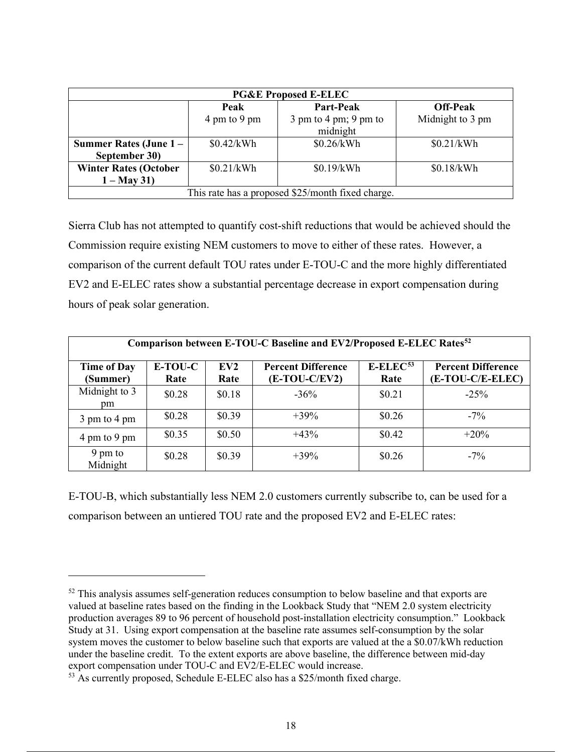| <b>PG&amp;E Proposed E-ELEC</b>                   |              |                                                                  |                  |  |  |  |  |
|---------------------------------------------------|--------------|------------------------------------------------------------------|------------------|--|--|--|--|
|                                                   | Peak         | Part-Peak                                                        | <b>Off-Peak</b>  |  |  |  |  |
|                                                   | 4 pm to 9 pm | $3 \text{ pm}$ to $4 \text{ pm}$ ; $9 \text{ pm}$ to<br>midnight | Midnight to 3 pm |  |  |  |  |
| Summer Rates (June 1-<br>September 30)            | \$0.42/kWh   | \$0.26/kWh                                                       | \$0.21/kWh       |  |  |  |  |
| <b>Winter Rates (October</b><br>$1 - May 31$      | \$0.21/kWh   | \$0.19/kWh                                                       | \$0.18/kWh       |  |  |  |  |
| This rate has a proposed \$25/month fixed charge. |              |                                                                  |                  |  |  |  |  |

Sierra Club has not attempted to quantify cost-shift reductions that would be achieved should the Commission require existing NEM customers to move to either of these rates. However, a comparison of the current default TOU rates under E-TOU-C and the more highly differentiated EV2 and E-ELEC rates show a substantial percentage decrease in export compensation during hours of peak solar generation.

| Comparison between E-TOU-C Baseline and EV2/Proposed E-ELEC Rates <sup>52</sup> |         |        |                           |                         |                           |  |  |
|---------------------------------------------------------------------------------|---------|--------|---------------------------|-------------------------|---------------------------|--|--|
| <b>Time of Day</b>                                                              | E-TOU-C | EV2    | <b>Percent Difference</b> | $E$ -ELEC <sup>53</sup> | <b>Percent Difference</b> |  |  |
| (Summer)                                                                        | Rate    | Rate   | $(E-TOU-C/EV2)$           | Rate                    | (E-TOU-C/E-ELEC)          |  |  |
| Midnight to 3<br>pm                                                             | \$0.28  | \$0.18 | $-36%$                    | \$0.21                  | $-25%$                    |  |  |
| 3 pm to 4 pm                                                                    | \$0.28  | \$0.39 | $+39\%$                   | \$0.26                  | $-7\%$                    |  |  |
| 4 pm to 9 pm                                                                    | \$0.35  | \$0.50 | $+43%$                    | \$0.42                  | $+20\%$                   |  |  |
| 9 pm to<br>Midnight                                                             | \$0.28  | \$0.39 | $+39\%$                   | \$0.26                  | $-7\%$                    |  |  |

E-TOU-B, which substantially less NEM 2.0 customers currently subscribe to, can be used for a comparison between an untiered TOU rate and the proposed EV2 and E-ELEC rates:

<sup>&</sup>lt;sup>52</sup> This analysis assumes self-generation reduces consumption to below baseline and that exports are valued at baseline rates based on the finding in the Lookback Study that "NEM 2.0 system electricity production averages 89 to 96 percent of household post-installation electricity consumption." Lookback Study at 31. Using export compensation at the baseline rate assumes self-consumption by the solar system moves the customer to below baseline such that exports are valued at the a \$0.07/kWh reduction under the baseline credit. To the extent exports are above baseline, the difference between mid-day export compensation under TOU-C and EV2/E-ELEC would increase.

<sup>53</sup> As currently proposed, Schedule E-ELEC also has a \$25/month fixed charge.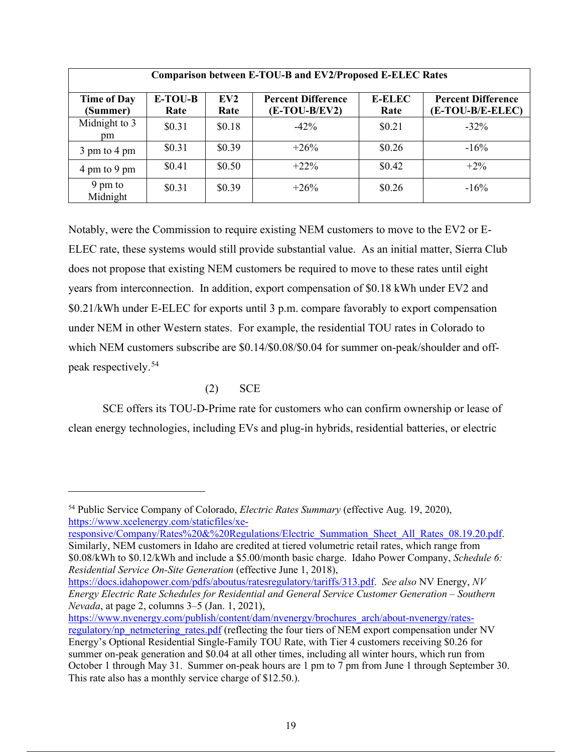| <b>Comparison between E-TOU-B and EV2/Proposed E-ELEC Rates</b> |                 |                         |                                              |                       |                                               |  |  |
|-----------------------------------------------------------------|-----------------|-------------------------|----------------------------------------------|-----------------------|-----------------------------------------------|--|--|
| <b>Time of Day</b><br>(Summer)                                  | E-TOU-B<br>Rate | EV <sub>2</sub><br>Rate | <b>Percent Difference</b><br>$(E-TOU-B/EV2)$ | <b>E-ELEC</b><br>Rate | <b>Percent Difference</b><br>(E-TOU-B/E-ELEC) |  |  |
| Midnight to 3<br>pm                                             | \$0.31          | \$0.18                  | $-42\%$                                      | \$0.21                | $-32\%$                                       |  |  |
| 3 pm to 4 pm                                                    | \$0.31          | \$0.39                  | $+26\%$                                      | \$0.26                | $-16\%$                                       |  |  |
| 4 pm to 9 pm                                                    | \$0.41          | \$0.50                  | $+22\%$                                      | \$0.42                | $+2\%$                                        |  |  |
| 9 pm to<br>Midnight                                             | \$0.31          | \$0.39                  | $+26%$                                       | \$0.26                | $-16%$                                        |  |  |

Notably, were the Commission to require existing NEM customers to move to the EV2 or E-ELEC rate, these systems would still provide substantial value. As an initial matter, Sierra Club does not propose that existing NEM customers be required to move to these rates until eight years from interconnection. In addition, export compensation of \$0.18 kWh under EV2 and \$0.21/kWh under E-ELEC for exports until 3 p.m. compare favorably to export compensation under NEM in other Western states. For example, the residential TOU rates in Colorado to which NEM customers subscribe are \$0.14/\$0.08/\$0.04 for summer on-peak/shoulder and offpeak respectively.<sup>54</sup>

### (2) SCE

SCE offers its TOU-D-Prime rate for customers who can confirm ownership or lease of clean energy technologies, including EVs and plug-in hybrids, residential batteries, or electric

responsive/Company/Rates%20&%20Regulations/Electric\_Summation\_Sheet\_All\_Rates\_08.19.20.pdf. Similarly, NEM customers in Idaho are credited at tiered volumetric retail rates, which range from \$0.08/kWh to \$0.12/kWh and include a \$5.00/month basic charge. Idaho Power Company, *Schedule 6: Residential Service On-Site Generation* (effective June 1, 2018),

https://docs.idahopower.com/pdfs/aboutus/ratesregulatory/tariffs/313.pdf. *See also* NV Energy, *NV Energy Electric Rate Schedules for Residential and General Service Customer Generation – Southern Nevada*, at page 2, columns 3–5 (Jan. 1, 2021),

<sup>54</sup> Public Service Company of Colorado, *Electric Rates Summary* (effective Aug. 19, 2020), https://www.xcelenergy.com/staticfiles/xe-

https://www.nvenergy.com/publish/content/dam/nvenergy/brochures\_arch/about-nvenergy/ratesregulatory/np\_netmetering\_rates.pdf (reflecting the four tiers of NEM export compensation under NV Energy's Optional Residential Single-Family TOU Rate, with Tier 4 customers receiving \$0.26 for summer on-peak generation and \$0.04 at all other times, including all winter hours, which run from October 1 through May 31. Summer on-peak hours are 1 pm to 7 pm from June 1 through September 30. This rate also has a monthly service charge of \$12.50.).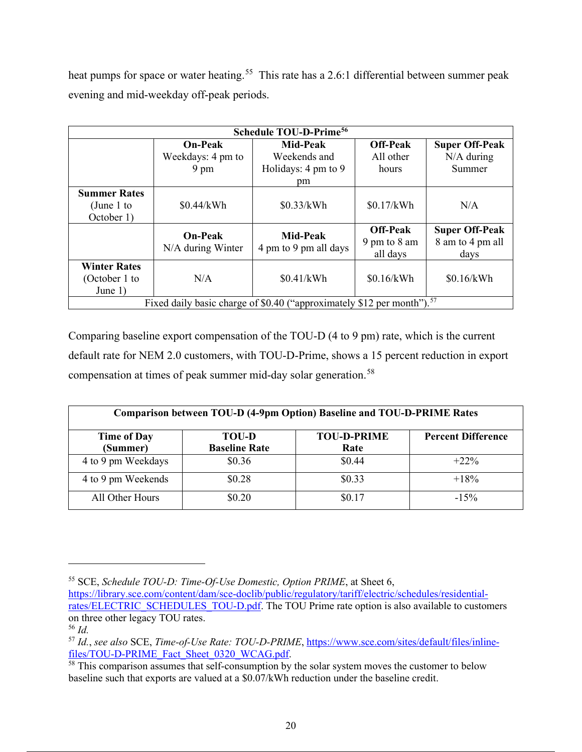heat pumps for space or water heating.<sup>55</sup> This rate has a 2.6:1 differential between summer peak evening and mid-weekday off-peak periods.

| <b>Schedule TOU-D-Prime<sup>56</sup></b>                                           |                                     |                                          |                                             |                                                   |  |  |  |
|------------------------------------------------------------------------------------|-------------------------------------|------------------------------------------|---------------------------------------------|---------------------------------------------------|--|--|--|
|                                                                                    | <b>On-Peak</b>                      | <b>Mid-Peak</b>                          | <b>Off-Peak</b>                             | <b>Super Off-Peak</b>                             |  |  |  |
|                                                                                    | Weekdays: 4 pm to                   | Weekends and                             | All other                                   | $N/A$ during                                      |  |  |  |
|                                                                                    | $9 \text{ pm}$                      | Holidays: 4 pm to 9                      | hours                                       | Summer                                            |  |  |  |
|                                                                                    |                                     | pm                                       |                                             |                                                   |  |  |  |
| <b>Summer Rates</b><br>(June 1 to<br>October 1)                                    | \$0.44/kWh                          | \$0.33/kWh                               | \$0.17/kWh                                  | N/A                                               |  |  |  |
|                                                                                    | <b>On-Peak</b><br>N/A during Winter | <b>Mid-Peak</b><br>4 pm to 9 pm all days | <b>Off-Peak</b><br>9 pm to 8 am<br>all days | <b>Super Off-Peak</b><br>8 am to 4 pm all<br>days |  |  |  |
| <b>Winter Rates</b><br>(October 1 to<br>June $1)$                                  | N/A                                 | \$0.41/kWh                               | \$0.16/kWh                                  | \$0.16/kWh                                        |  |  |  |
| Fixed daily basic charge of \$0.40 ("approximately \$12 per month"). <sup>57</sup> |                                     |                                          |                                             |                                                   |  |  |  |

Comparing baseline export compensation of the TOU-D (4 to 9 pm) rate, which is the current default rate for NEM 2.0 customers, with TOU-D-Prime, shows a 15 percent reduction in export compensation at times of peak summer mid-day solar generation.<sup>58</sup>

| <b>Comparison between TOU-D (4-9pm Option) Baseline and TOU-D-PRIME Rates</b> |                                      |                            |                           |  |  |  |
|-------------------------------------------------------------------------------|--------------------------------------|----------------------------|---------------------------|--|--|--|
| <b>Time of Day</b><br>(Summer)                                                | <b>TOU-D</b><br><b>Baseline Rate</b> | <b>TOU-D-PRIME</b><br>Rate | <b>Percent Difference</b> |  |  |  |
| 4 to 9 pm Weekdays                                                            | \$0.36                               | \$0.44                     | $+22\%$                   |  |  |  |
| 4 to 9 pm Weekends                                                            | \$0.28                               | \$0.33                     | $+18%$                    |  |  |  |
| All Other Hours                                                               | \$0.20                               | \$0.17                     | $-15%$                    |  |  |  |

<sup>55</sup> SCE, *Schedule TOU-D: Time-Of-Use Domestic, Option PRIME*, at Sheet 6,

https://library.sce.com/content/dam/sce-doclib/public/regulatory/tariff/electric/schedules/residentialrates/ELECTRIC\_SCHEDULES\_TOU-D.pdf. The TOU Prime rate option is also available to customers on three other legacy TOU rates.

<sup>56</sup> *Id.* 

<sup>57</sup> *Id.*, *see also* SCE, *Time-of-Use Rate: TOU-D-PRIME*, https://www.sce.com/sites/default/files/inline-

 $\frac{1}{58}$  This comparison assumes that self-consumption by the solar system moves the customer to below baseline such that exports are valued at a \$0.07/kWh reduction under the baseline credit.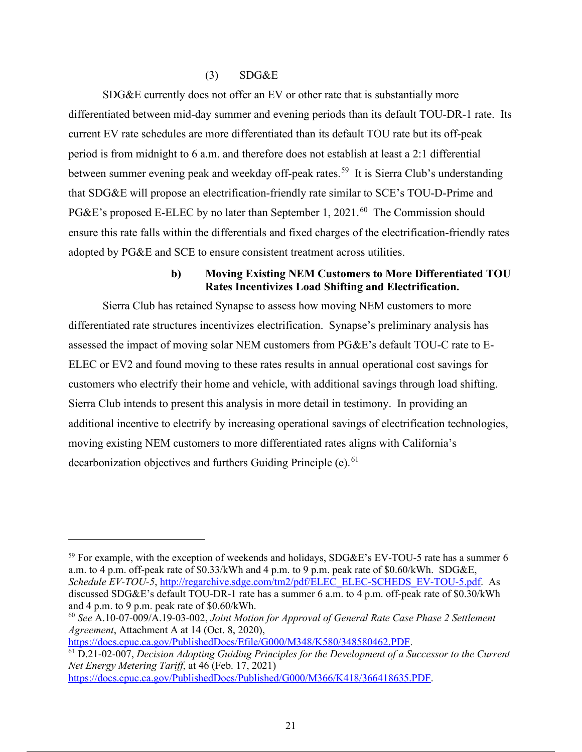#### $(S)$  SDG&E

SDG&E currently does not offer an EV or other rate that is substantially more differentiated between mid-day summer and evening periods than its default TOU-DR-1 rate. Its current EV rate schedules are more differentiated than its default TOU rate but its off-peak period is from midnight to 6 a.m. and therefore does not establish at least a 2:1 differential between summer evening peak and weekday off-peak rates.<sup>59</sup> It is Sierra Club's understanding that SDG&E will propose an electrification-friendly rate similar to SCE's TOU-D-Prime and PG&E's proposed E-ELEC by no later than September 1, 2021.<sup>60</sup> The Commission should ensure this rate falls within the differentials and fixed charges of the electrification-friendly rates adopted by PG&E and SCE to ensure consistent treatment across utilities.

#### **b) Moving Existing NEM Customers to More Differentiated TOU Rates Incentivizes Load Shifting and Electrification.**

Sierra Club has retained Synapse to assess how moving NEM customers to more differentiated rate structures incentivizes electrification. Synapse's preliminary analysis has assessed the impact of moving solar NEM customers from PG&E's default TOU-C rate to E-ELEC or EV2 and found moving to these rates results in annual operational cost savings for customers who electrify their home and vehicle, with additional savings through load shifting. Sierra Club intends to present this analysis in more detail in testimony. In providing an additional incentive to electrify by increasing operational savings of electrification technologies, moving existing NEM customers to more differentiated rates aligns with California's decarbonization objectives and furthers Guiding Principle (e).<sup>61</sup>

 $59$  For example, with the exception of weekends and holidays, SDG&E's EV-TOU-5 rate has a summer 6 a.m. to 4 p.m. off-peak rate of \$0.33/kWh and 4 p.m. to 9 p.m. peak rate of \$0.60/kWh. SDG&E, *Schedule EV-TOU-5*, http://regarchive.sdge.com/tm2/pdf/ELEC\_ELEC-SCHEDS\_EV-TOU-5.pdf. As discussed SDG&E's default TOU-DR-1 rate has a summer 6 a.m. to 4 p.m. off-peak rate of \$0.30/kWh and 4 p.m. to 9 p.m. peak rate of \$0.60/kWh.

<sup>60</sup> *See* A.10-07-009/A.19-03-002, *Joint Motion for Approval of General Rate Case Phase 2 Settlement Agreement*, Attachment A at 14 (Oct. 8, 2020),<br>https://docs.cpuc.ca.gov/PublishedDocs/Efile/G000/M348/K580/348580462.PDF.

<sup>&</sup>lt;sup>61</sup> D.21-02-007, *Decision Adopting Guiding Principles for the Development of a Successor to the Current Net Energy Metering Tariff*, at 46 (Feb. 17, 2021)

https://docs.cpuc.ca.gov/PublishedDocs/Published/G000/M366/K418/366418635.PDF.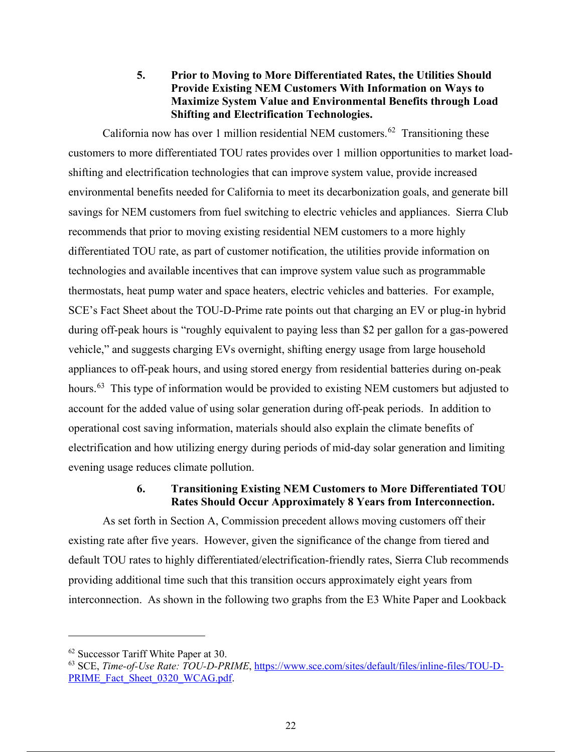**5. Prior to Moving to More Differentiated Rates, the Utilities Should Provide Existing NEM Customers With Information on Ways to Maximize System Value and Environmental Benefits through Load Shifting and Electrification Technologies.** 

California now has over 1 million residential NEM customers.<sup>62</sup> Transitioning these customers to more differentiated TOU rates provides over 1 million opportunities to market loadshifting and electrification technologies that can improve system value, provide increased environmental benefits needed for California to meet its decarbonization goals, and generate bill savings for NEM customers from fuel switching to electric vehicles and appliances. Sierra Club recommends that prior to moving existing residential NEM customers to a more highly differentiated TOU rate, as part of customer notification, the utilities provide information on technologies and available incentives that can improve system value such as programmable thermostats, heat pump water and space heaters, electric vehicles and batteries. For example, SCE's Fact Sheet about the TOU-D-Prime rate points out that charging an EV or plug-in hybrid during off-peak hours is "roughly equivalent to paying less than \$2 per gallon for a gas-powered vehicle," and suggests charging EVs overnight, shifting energy usage from large household appliances to off-peak hours, and using stored energy from residential batteries during on-peak hours.<sup>63</sup> This type of information would be provided to existing NEM customers but adjusted to account for the added value of using solar generation during off-peak periods. In addition to operational cost saving information, materials should also explain the climate benefits of electrification and how utilizing energy during periods of mid-day solar generation and limiting evening usage reduces climate pollution.

### **6. Transitioning Existing NEM Customers to More Differentiated TOU Rates Should Occur Approximately 8 Years from Interconnection.**

As set forth in Section A, Commission precedent allows moving customers off their existing rate after five years. However, given the significance of the change from tiered and default TOU rates to highly differentiated/electrification-friendly rates, Sierra Club recommends providing additional time such that this transition occurs approximately eight years from interconnection. As shown in the following two graphs from the E3 White Paper and Lookback

<sup>62</sup> Successor Tariff White Paper at 30.

<sup>63</sup> SCE, *Time-of-Use Rate: TOU-D-PRIME*, https://www.sce.com/sites/default/files/inline-files/TOU-D-PRIME\_Fact\_Sheet\_0320\_WCAG.pdf.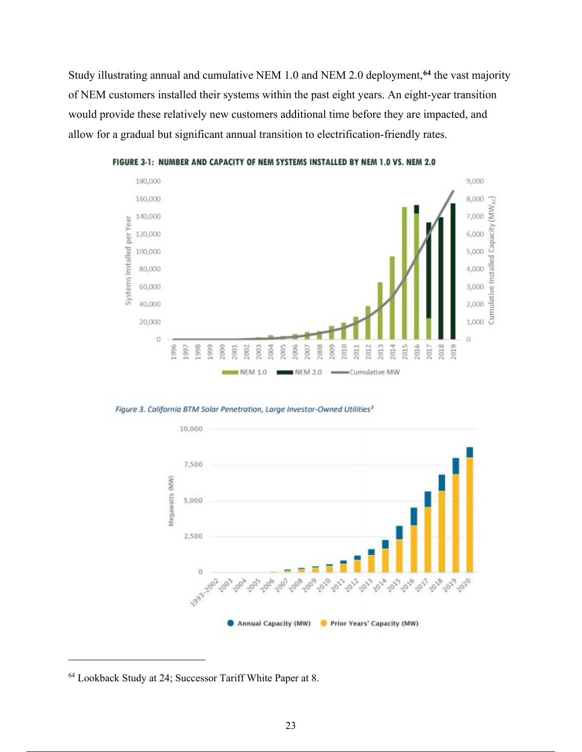Study illustrating annual and cumulative NEM 1.0 and NEM 2.0 deployment,**<sup>64</sup>** the vast majority of NEM customers installed their systems within the past eight years. An eight-year transition would provide these relatively new customers additional time before they are impacted, and allow for a gradual but significant annual transition to electrification-friendly rates.



FIGURE 3-1: NUMBER AND CAPACITY OF NEM SYSTEMS INSTALLED BY NEM 1.0 VS. NEM 2.0

Figure 3. California BTM Solar Penetration, Large Investor-Owned Utilities<sup>3</sup>



<sup>64</sup> Lookback Study at 24; Successor Tariff White Paper at 8.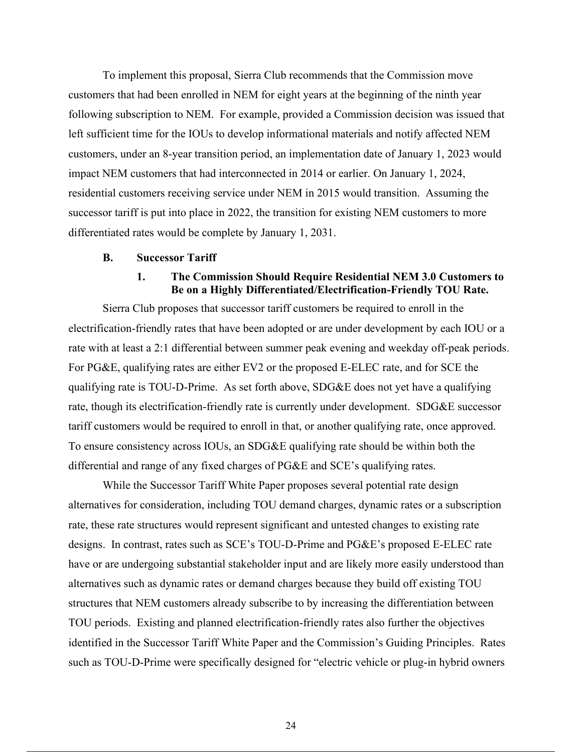To implement this proposal, Sierra Club recommends that the Commission move customers that had been enrolled in NEM for eight years at the beginning of the ninth year following subscription to NEM. For example, provided a Commission decision was issued that left sufficient time for the IOUs to develop informational materials and notify affected NEM customers, under an 8-year transition period, an implementation date of January 1, 2023 would impact NEM customers that had interconnected in 2014 or earlier. On January 1, 2024, residential customers receiving service under NEM in 2015 would transition. Assuming the successor tariff is put into place in 2022, the transition for existing NEM customers to more differentiated rates would be complete by January 1, 2031.

#### **B. Successor Tariff**

### **1. The Commission Should Require Residential NEM 3.0 Customers to Be on a Highly Differentiated/Electrification-Friendly TOU Rate.**

Sierra Club proposes that successor tariff customers be required to enroll in the electrification-friendly rates that have been adopted or are under development by each IOU or a rate with at least a 2:1 differential between summer peak evening and weekday off-peak periods. For PG&E, qualifying rates are either EV2 or the proposed E-ELEC rate, and for SCE the qualifying rate is TOU-D-Prime. As set forth above, SDG&E does not yet have a qualifying rate, though its electrification-friendly rate is currently under development. SDG&E successor tariff customers would be required to enroll in that, or another qualifying rate, once approved. To ensure consistency across IOUs, an SDG&E qualifying rate should be within both the differential and range of any fixed charges of PG&E and SCE's qualifying rates.

While the Successor Tariff White Paper proposes several potential rate design alternatives for consideration, including TOU demand charges, dynamic rates or a subscription rate, these rate structures would represent significant and untested changes to existing rate designs. In contrast, rates such as SCE's TOU-D-Prime and PG&E's proposed E-ELEC rate have or are undergoing substantial stakeholder input and are likely more easily understood than alternatives such as dynamic rates or demand charges because they build off existing TOU structures that NEM customers already subscribe to by increasing the differentiation between TOU periods. Existing and planned electrification-friendly rates also further the objectives identified in the Successor Tariff White Paper and the Commission's Guiding Principles. Rates such as TOU-D-Prime were specifically designed for "electric vehicle or plug-in hybrid owners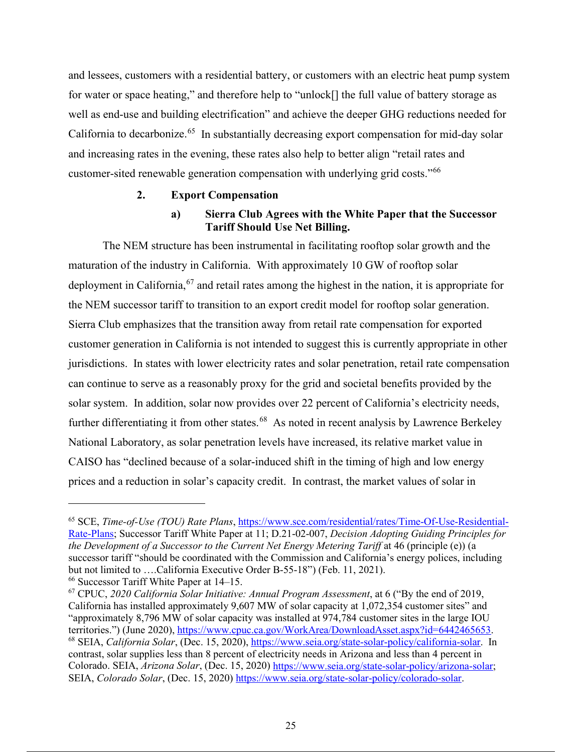and lessees, customers with a residential battery, or customers with an electric heat pump system for water or space heating," and therefore help to "unlock[] the full value of battery storage as well as end-use and building electrification" and achieve the deeper GHG reductions needed for California to decarbonize.<sup>65</sup> In substantially decreasing export compensation for mid-day solar and increasing rates in the evening, these rates also help to better align "retail rates and customer-sited renewable generation compensation with underlying grid costs."66

#### **2. Export Compensation**

### **a) Sierra Club Agrees with the White Paper that the Successor Tariff Should Use Net Billing.**

The NEM structure has been instrumental in facilitating rooftop solar growth and the maturation of the industry in California. With approximately 10 GW of rooftop solar deployment in California,  $67$  and retail rates among the highest in the nation, it is appropriate for the NEM successor tariff to transition to an export credit model for rooftop solar generation. Sierra Club emphasizes that the transition away from retail rate compensation for exported customer generation in California is not intended to suggest this is currently appropriate in other jurisdictions. In states with lower electricity rates and solar penetration, retail rate compensation can continue to serve as a reasonably proxy for the grid and societal benefits provided by the solar system. In addition, solar now provides over 22 percent of California's electricity needs, further differentiating it from other states.<sup>68</sup> As noted in recent analysis by Lawrence Berkeley National Laboratory, as solar penetration levels have increased, its relative market value in CAISO has "declined because of a solar-induced shift in the timing of high and low energy prices and a reduction in solar's capacity credit. In contrast, the market values of solar in

<sup>65</sup> SCE, *Time-of-Use (TOU) Rate Plans*, https://www.sce.com/residential/rates/Time-Of-Use-Residential-Rate-Plans; Successor Tariff White Paper at 11; D.21-02-007, *Decision Adopting Guiding Principles for the Development of a Successor to the Current Net Energy Metering Tariff* at 46 (principle (e)) (a successor tariff "should be coordinated with the Commission and California's energy polices, including but not limited to ….California Executive Order B-55-18") (Feb. 11, 2021). <sup>66</sup> Successor Tariff White Paper at 14–15.

<sup>67</sup> CPUC, *2020 California Solar Initiative: Annual Program Assessment*, at 6 ("By the end of 2019, California has installed approximately 9,607 MW of solar capacity at 1,072,354 customer sites" and "approximately 8,796 MW of solar capacity was installed at 974,784 customer sites in the large IOU<br>territories.") (June 2020), https://www.cpuc.ca.gov/WorkArea/DownloadAsset.aspx?id=6442465653. <sup>68</sup> SEIA, *California Solar*, (Dec. 15, 2020), https://www.seia.org/state-solar-policy/california-solar. In contrast, solar supplies less than 8 percent of electricity needs in Arizona and less than 4 percent in Colorado. SEIA, *Arizona Solar*, (Dec. 15, 2020) https://www.seia.org/state-solar-policy/arizona-solar; SEIA, *Colorado Solar*, (Dec. 15, 2020) https://www.seia.org/state-solar-policy/colorado-solar.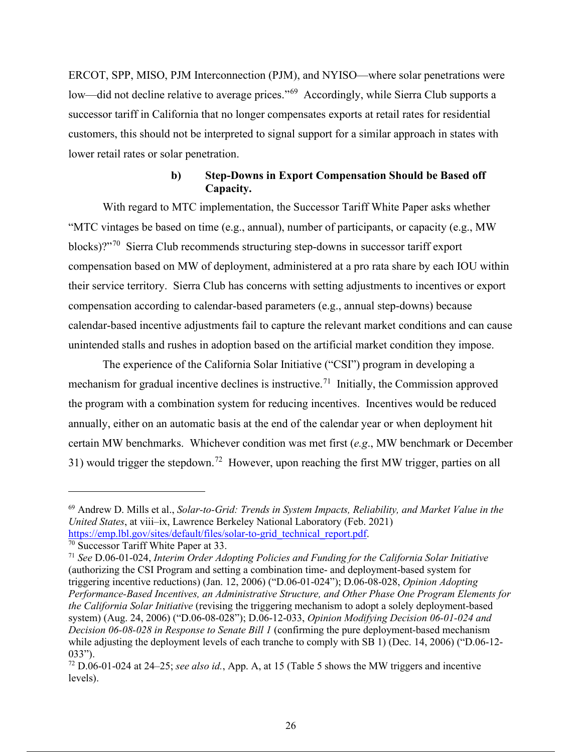ERCOT, SPP, MISO, PJM Interconnection (PJM), and NYISO—where solar penetrations were low—did not decline relative to average prices."<sup>69</sup> Accordingly, while Sierra Club supports a successor tariff in California that no longer compensates exports at retail rates for residential customers, this should not be interpreted to signal support for a similar approach in states with lower retail rates or solar penetration.

### **b) Step-Downs in Export Compensation Should be Based off Capacity.**

With regard to MTC implementation, the Successor Tariff White Paper asks whether "MTC vintages be based on time (e.g., annual), number of participants, or capacity (e.g., MW blocks)?"70 Sierra Club recommends structuring step-downs in successor tariff export compensation based on MW of deployment, administered at a pro rata share by each IOU within their service territory. Sierra Club has concerns with setting adjustments to incentives or export compensation according to calendar-based parameters (e.g., annual step-downs) because calendar-based incentive adjustments fail to capture the relevant market conditions and can cause unintended stalls and rushes in adoption based on the artificial market condition they impose.

The experience of the California Solar Initiative ("CSI") program in developing a mechanism for gradual incentive declines is instructive.<sup>71</sup> Initially, the Commission approved the program with a combination system for reducing incentives. Incentives would be reduced annually, either on an automatic basis at the end of the calendar year or when deployment hit certain MW benchmarks. Whichever condition was met first (*e.g*., MW benchmark or December 31) would trigger the stepdown.<sup>72</sup> However, upon reaching the first MW trigger, parties on all

<sup>69</sup> Andrew D. Mills et al., *Solar-to-Grid: Trends in System Impacts, Reliability, and Market Value in the United States*, at viii–ix, Lawrence Berkeley National Laboratory (Feb. 2021) https://emp.lbl.gov/sites/default/files/solar-to-grid\_technical\_report.pdf.<br><sup>70</sup> Successor Tariff White Paper at 33.

<sup>71</sup> *See* D.06-01-024, *Interim Order Adopting Policies and Funding for the California Solar Initiative* (authorizing the CSI Program and setting a combination time- and deployment-based system for triggering incentive reductions) (Jan. 12, 2006) ("D.06-01-024"); D.06-08-028, *Opinion Adopting Performance-Based Incentives, an Administrative Structure, and Other Phase One Program Elements for the California Solar Initiative* (revising the triggering mechanism to adopt a solely deployment-based system) (Aug. 24, 2006) ("D.06-08-028"); D.06-12-033, *Opinion Modifying Decision 06-01-024 and Decision 06-08-028 in Response to Senate Bill 1* (confirming the pure deployment-based mechanism while adjusting the deployment levels of each tranche to comply with SB 1) (Dec. 14, 2006) ("D.06-12- 033"). 72 D.06-01-024 at 24–25; *see also id.*, App. A, at 15 (Table 5 shows the MW triggers and incentive

levels).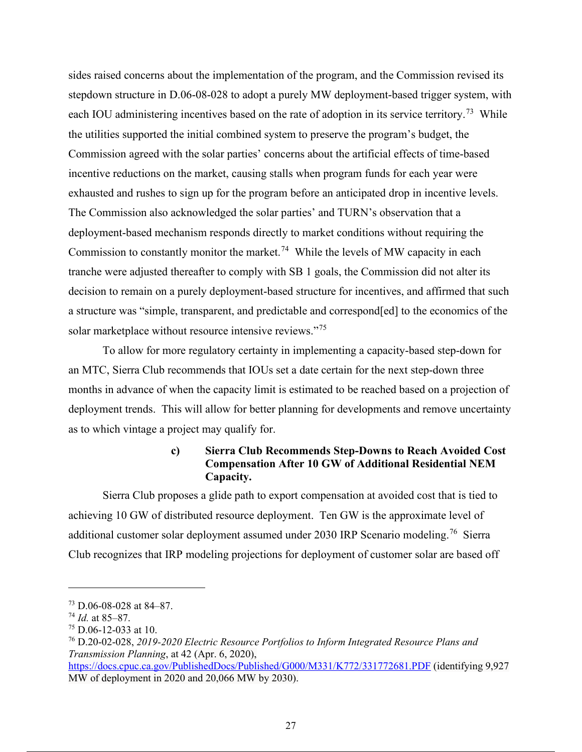sides raised concerns about the implementation of the program, and the Commission revised its stepdown structure in D.06-08-028 to adopt a purely MW deployment-based trigger system, with each IOU administering incentives based on the rate of adoption in its service territory.<sup>73</sup> While the utilities supported the initial combined system to preserve the program's budget, the Commission agreed with the solar parties' concerns about the artificial effects of time-based incentive reductions on the market, causing stalls when program funds for each year were exhausted and rushes to sign up for the program before an anticipated drop in incentive levels. The Commission also acknowledged the solar parties' and TURN's observation that a deployment-based mechanism responds directly to market conditions without requiring the Commission to constantly monitor the market.<sup>74</sup> While the levels of MW capacity in each tranche were adjusted thereafter to comply with SB 1 goals, the Commission did not alter its decision to remain on a purely deployment-based structure for incentives, and affirmed that such a structure was "simple, transparent, and predictable and correspond[ed] to the economics of the solar marketplace without resource intensive reviews."<sup>75</sup>

To allow for more regulatory certainty in implementing a capacity-based step-down for an MTC, Sierra Club recommends that IOUs set a date certain for the next step-down three months in advance of when the capacity limit is estimated to be reached based on a projection of deployment trends. This will allow for better planning for developments and remove uncertainty as to which vintage a project may qualify for.

### **c) Sierra Club Recommends Step-Downs to Reach Avoided Cost Compensation After 10 GW of Additional Residential NEM Capacity.**

Sierra Club proposes a glide path to export compensation at avoided cost that is tied to achieving 10 GW of distributed resource deployment. Ten GW is the approximate level of additional customer solar deployment assumed under 2030 IRP Scenario modeling.<sup>76</sup> Sierra Club recognizes that IRP modeling projections for deployment of customer solar are based off

<sup>73</sup> D.06-08-028 at 84–87.

<sup>74</sup> *Id.* at 85–87.

 $75$  D.06-12-033 at 10.

<sup>76</sup> D.20-02-028, *2019-2020 Electric Resource Portfolios to Inform Integrated Resource Plans and Transmission Planning*, at 42 (Apr. 6, 2020),

https://docs.cpuc.ca.gov/PublishedDocs/Published/G000/M331/K772/331772681.PDF (identifying 9,927 MW of deployment in 2020 and 20,066 MW by 2030).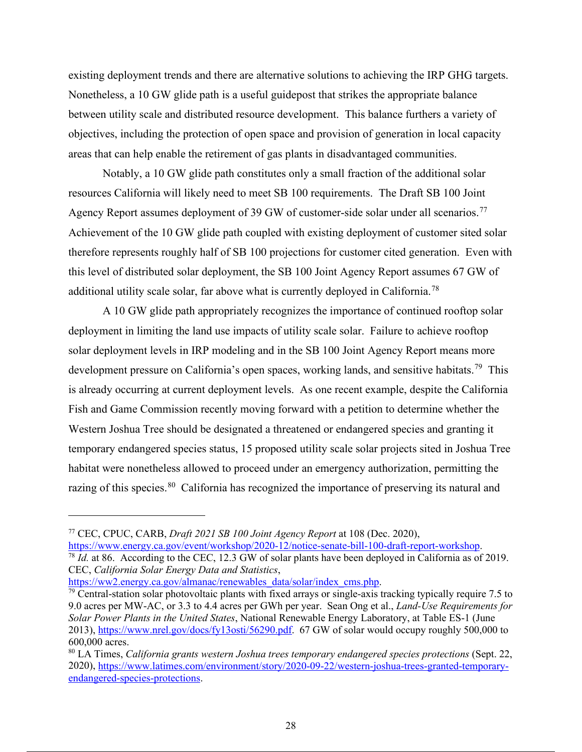existing deployment trends and there are alternative solutions to achieving the IRP GHG targets. Nonetheless, a 10 GW glide path is a useful guidepost that strikes the appropriate balance between utility scale and distributed resource development. This balance furthers a variety of objectives, including the protection of open space and provision of generation in local capacity areas that can help enable the retirement of gas plants in disadvantaged communities.

Notably, a 10 GW glide path constitutes only a small fraction of the additional solar resources California will likely need to meet SB 100 requirements. The Draft SB 100 Joint Agency Report assumes deployment of 39 GW of customer-side solar under all scenarios.<sup>77</sup> Achievement of the 10 GW glide path coupled with existing deployment of customer sited solar therefore represents roughly half of SB 100 projections for customer cited generation. Even with this level of distributed solar deployment, the SB 100 Joint Agency Report assumes 67 GW of additional utility scale solar, far above what is currently deployed in California.78

A 10 GW glide path appropriately recognizes the importance of continued rooftop solar deployment in limiting the land use impacts of utility scale solar. Failure to achieve rooftop solar deployment levels in IRP modeling and in the SB 100 Joint Agency Report means more development pressure on California's open spaces, working lands, and sensitive habitats.<sup>79</sup> This is already occurring at current deployment levels. As one recent example, despite the California Fish and Game Commission recently moving forward with a petition to determine whether the Western Joshua Tree should be designated a threatened or endangered species and granting it temporary endangered species status, 15 proposed utility scale solar projects sited in Joshua Tree habitat were nonetheless allowed to proceed under an emergency authorization, permitting the razing of this species.<sup>80</sup> California has recognized the importance of preserving its natural and

<sup>78</sup> *Id.* at 86. According to the CEC, 12.3 GW of solar plants have been deployed in California as of 2019. CEC, *California Solar Energy Data and Statistics*,

<sup>77</sup> CEC, CPUC, CARB, *Draft 2021 SB 100 Joint Agency Report* at 108 (Dec. 2020),

 $\frac{79}{2}$  Central-station solar photovoltaic plants with fixed arrays or single-axis tracking typically require 7.5 to 9.0 acres per MW-AC, or 3.3 to 4.4 acres per GWh per year. Sean Ong et al., *Land-Use Requirements for Solar Power Plants in the United States*, National Renewable Energy Laboratory, at Table ES-1 (June 2013), https://www.nrel.gov/docs/fy13osti/56290.pdf. 67 GW of solar would occupy roughly 500,000 to 600,000 acres.

<sup>80</sup> LA Times, *California grants western Joshua trees temporary endangered species protections* (Sept. 22, 2020), https://www.latimes.com/environment/story/2020-09-22/western-joshua-trees-granted-temporaryendangered-species-protections.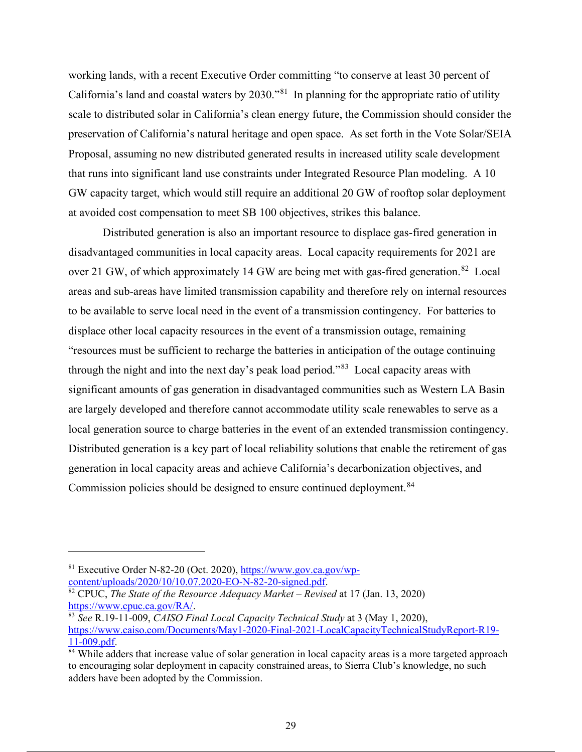working lands, with a recent Executive Order committing "to conserve at least 30 percent of California's land and coastal waters by 2030."81 In planning for the appropriate ratio of utility scale to distributed solar in California's clean energy future, the Commission should consider the preservation of California's natural heritage and open space. As set forth in the Vote Solar/SEIA Proposal, assuming no new distributed generated results in increased utility scale development that runs into significant land use constraints under Integrated Resource Plan modeling. A 10 GW capacity target, which would still require an additional 20 GW of rooftop solar deployment at avoided cost compensation to meet SB 100 objectives, strikes this balance.

Distributed generation is also an important resource to displace gas-fired generation in disadvantaged communities in local capacity areas. Local capacity requirements for 2021 are over 21 GW, of which approximately 14 GW are being met with gas-fired generation.<sup>82</sup> Local areas and sub-areas have limited transmission capability and therefore rely on internal resources to be available to serve local need in the event of a transmission contingency. For batteries to displace other local capacity resources in the event of a transmission outage, remaining "resources must be sufficient to recharge the batteries in anticipation of the outage continuing through the night and into the next day's peak load period."<sup>83</sup> Local capacity areas with significant amounts of gas generation in disadvantaged communities such as Western LA Basin are largely developed and therefore cannot accommodate utility scale renewables to serve as a local generation source to charge batteries in the event of an extended transmission contingency. Distributed generation is a key part of local reliability solutions that enable the retirement of gas generation in local capacity areas and achieve California's decarbonization objectives, and Commission policies should be designed to ensure continued deployment.<sup>84</sup>

<sup>&</sup>lt;sup>81</sup> Executive Order N-82-20 (Oct. 2020),  $\frac{https://www.gov.ca.gov/wp-content/uploads/2020/10/10.07.2020-EO-N-82-20-signed.pdf.$ 

<sup>&</sup>lt;sup>82</sup> CPUC, *The State of the Resource Adequacy Market – Revised* at 17 (Jan. 13, 2020) https://www.cpuc.ca.gov/RA/.

<sup>&</sup>lt;sup>83</sup> See R.19-11-009, *CAISO Final Local Capacity Technical Study* at 3 (May 1, 2020), https://www.caiso.com/Documents/May1-2020-Final-2021-LocalCapacityTechnicalStudyReport-R19-  $\frac{11-009.pdf}{44}$ .<br><sup>84</sup> While adders that increase value of solar generation in local capacity areas is a more targeted approach

to encouraging solar deployment in capacity constrained areas, to Sierra Club's knowledge, no such adders have been adopted by the Commission.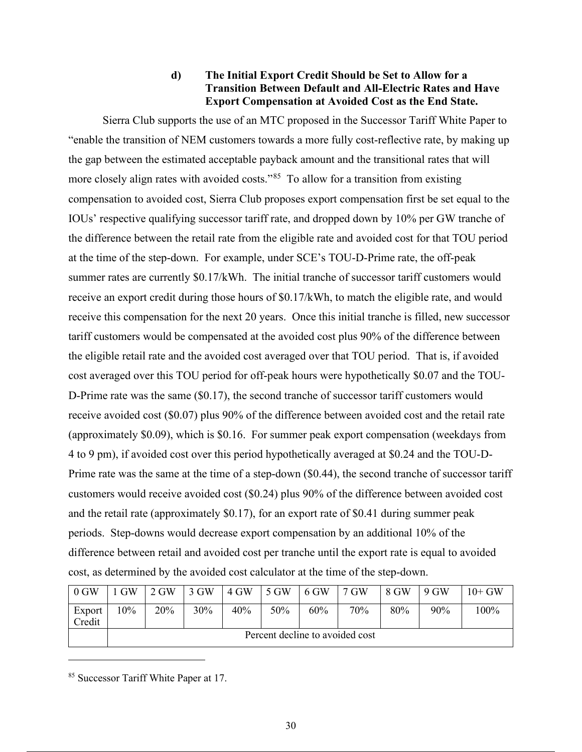### **d) The Initial Export Credit Should be Set to Allow for a Transition Between Default and All-Electric Rates and Have Export Compensation at Avoided Cost as the End State.**

Sierra Club supports the use of an MTC proposed in the Successor Tariff White Paper to "enable the transition of NEM customers towards a more fully cost-reflective rate, by making up the gap between the estimated acceptable payback amount and the transitional rates that will more closely align rates with avoided costs."<sup>85</sup> To allow for a transition from existing compensation to avoided cost, Sierra Club proposes export compensation first be set equal to the IOUs' respective qualifying successor tariff rate, and dropped down by 10% per GW tranche of the difference between the retail rate from the eligible rate and avoided cost for that TOU period at the time of the step-down. For example, under SCE's TOU-D-Prime rate, the off-peak summer rates are currently \$0.17/kWh. The initial tranche of successor tariff customers would receive an export credit during those hours of \$0.17/kWh, to match the eligible rate, and would receive this compensation for the next 20 years. Once this initial tranche is filled, new successor tariff customers would be compensated at the avoided cost plus 90% of the difference between the eligible retail rate and the avoided cost averaged over that TOU period. That is, if avoided cost averaged over this TOU period for off-peak hours were hypothetically \$0.07 and the TOU-D-Prime rate was the same (\$0.17), the second tranche of successor tariff customers would receive avoided cost (\$0.07) plus 90% of the difference between avoided cost and the retail rate (approximately \$0.09), which is \$0.16. For summer peak export compensation (weekdays from 4 to 9 pm), if avoided cost over this period hypothetically averaged at \$0.24 and the TOU-D-Prime rate was the same at the time of a step-down (\$0.44), the second tranche of successor tariff customers would receive avoided cost (\$0.24) plus 90% of the difference between avoided cost and the retail rate (approximately \$0.17), for an export rate of \$0.41 during summer peak periods. Step-downs would decrease export compensation by an additional 10% of the difference between retail and avoided cost per tranche until the export rate is equal to avoided cost, as determined by the avoided cost calculator at the time of the step-down.

| 0 GW             | 1 GW                            | 2 GW | $\overline{3}$ GW | 4 GW | $\blacksquare$ 5 GW | $6$ GW | $17$ GW | 8 GW | 9 GW | $10+$ GW |
|------------------|---------------------------------|------|-------------------|------|---------------------|--------|---------|------|------|----------|
| Export<br>Credit | $10\%$                          | 20%  | 30%               | 40%  | 50%                 | 60%    | 70%     | 80%  | 90%  | 100%     |
|                  | Percent decline to avoided cost |      |                   |      |                     |        |         |      |      |          |

<sup>85</sup> Successor Tariff White Paper at 17.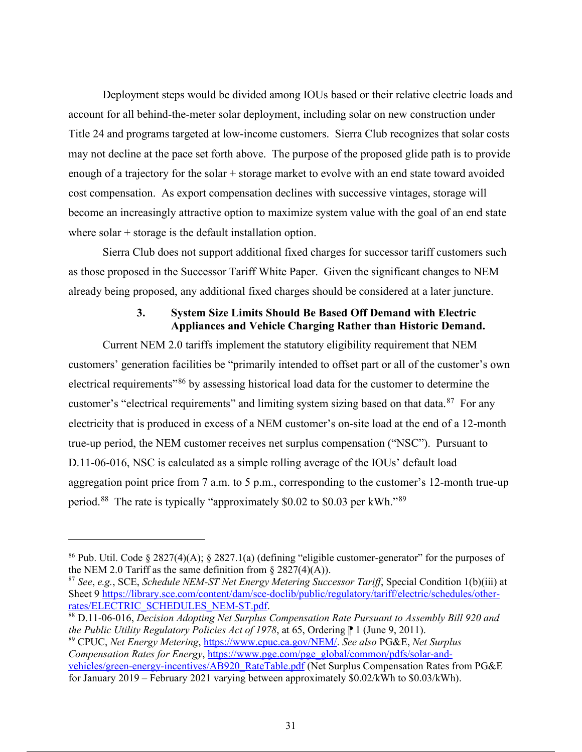Deployment steps would be divided among IOUs based or their relative electric loads and account for all behind-the-meter solar deployment, including solar on new construction under Title 24 and programs targeted at low-income customers. Sierra Club recognizes that solar costs may not decline at the pace set forth above. The purpose of the proposed glide path is to provide enough of a trajectory for the solar + storage market to evolve with an end state toward avoided cost compensation. As export compensation declines with successive vintages, storage will become an increasingly attractive option to maximize system value with the goal of an end state where solar + storage is the default installation option.

 Sierra Club does not support additional fixed charges for successor tariff customers such as those proposed in the Successor Tariff White Paper. Given the significant changes to NEM already being proposed, any additional fixed charges should be considered at a later juncture.

### **3. System Size Limits Should Be Based Off Demand with Electric Appliances and Vehicle Charging Rather than Historic Demand.**

Current NEM 2.0 tariffs implement the statutory eligibility requirement that NEM customers' generation facilities be "primarily intended to offset part or all of the customer's own electrical requirements<sup>"86</sup> by assessing historical load data for the customer to determine the customer's "electrical requirements" and limiting system sizing based on that data. $87$  For any electricity that is produced in excess of a NEM customer's on-site load at the end of a 12-month true-up period, the NEM customer receives net surplus compensation ("NSC"). Pursuant to D.11-06-016, NSC is calculated as a simple rolling average of the IOUs' default load aggregation point price from 7 a.m. to 5 p.m., corresponding to the customer's 12-month true-up period.88 The rate is typically "approximately \$0.02 to \$0.03 per kWh."89

<sup>88</sup> D.11-06-016, *Decision Adopting Net Surplus Compensation Rate Pursuant to Assembly Bill 920 and the Public Utility Regulatory Policies Act of 1978*, at 65, Ordering **P** 1 (June 9, 2011).

<sup>89</sup> CPUC, *Net Energy Metering*, https://www.cpuc.ca.gov/NEM/. *See also* PG&E, *Net Surplus Compensation Rates for Energy*, https://www.pge.com/pge\_global/common/pdfs/solar-andvehicles/green-energy-incentives/AB920\_RateTable.pdf (Net Surplus Compensation Rates from PG&E for January 2019 – February 2021 varying between approximately \$0.02/kWh to \$0.03/kWh).

<sup>86</sup> Pub. Util. Code § 2827(4)(A); § 2827.1(a) (defining "eligible customer-generator" for the purposes of the NEM 2.0 Tariff as the same definition from  $\S 2827(4)(A)$ ).

<sup>87</sup> *See*, *e.g.*, SCE, *Schedule NEM-ST Net Energy Metering Successor Tariff*, Special Condition 1(b)(iii) at Sheet 9 https://library.sce.com/content/dam/sce-doclib/public/regulatory/tariff/electric/schedules/other-rates/ELECTRIC SCHEDULES NEM-ST.pdf.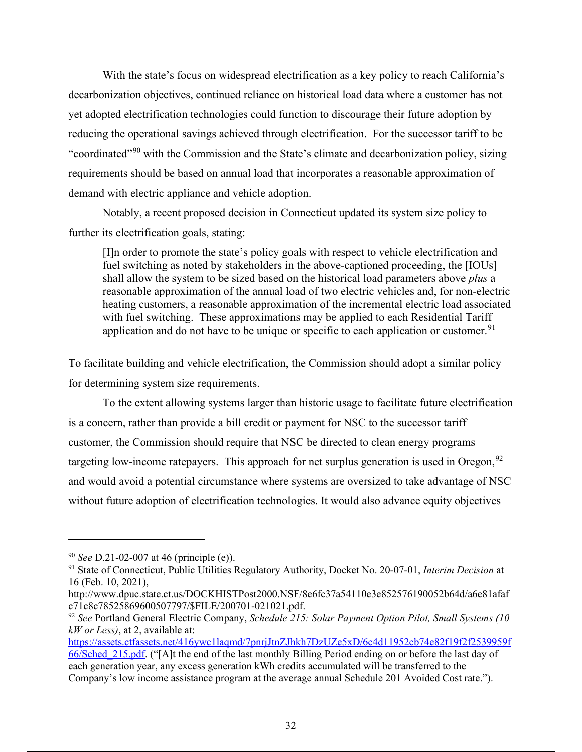With the state's focus on widespread electrification as a key policy to reach California's decarbonization objectives, continued reliance on historical load data where a customer has not yet adopted electrification technologies could function to discourage their future adoption by reducing the operational savings achieved through electrification. For the successor tariff to be "coordinated"<sup>90</sup> with the Commission and the State's climate and decarbonization policy, sizing requirements should be based on annual load that incorporates a reasonable approximation of demand with electric appliance and vehicle adoption.

Notably, a recent proposed decision in Connecticut updated its system size policy to further its electrification goals, stating:

[I]n order to promote the state's policy goals with respect to vehicle electrification and fuel switching as noted by stakeholders in the above-captioned proceeding, the [IOUs] shall allow the system to be sized based on the historical load parameters above *plus* a reasonable approximation of the annual load of two electric vehicles and, for non-electric heating customers, a reasonable approximation of the incremental electric load associated with fuel switching. These approximations may be applied to each Residential Tariff application and do not have to be unique or specific to each application or customer.<sup>91</sup>

To facilitate building and vehicle electrification, the Commission should adopt a similar policy for determining system size requirements.

To the extent allowing systems larger than historic usage to facilitate future electrification is a concern, rather than provide a bill credit or payment for NSC to the successor tariff customer, the Commission should require that NSC be directed to clean energy programs targeting low-income ratepayers. This approach for net surplus generation is used in Oregon,  $92$ and would avoid a potential circumstance where systems are oversized to take advantage of NSC without future adoption of electrification technologies. It would also advance equity objectives

<sup>90</sup> *See* D.21-02-007 at 46 (principle (e)).

<sup>91</sup> State of Connecticut, Public Utilities Regulatory Authority, Docket No. 20-07-01, *Interim Decision* at 16 (Feb. 10, 2021),

http://www.dpuc.state.ct.us/DOCKHISTPost2000.NSF/8e6fc37a54110e3e852576190052b64d/a6e81afaf c71c8c78525869600507797/\$FILE/200701-021021.pdf.

<sup>92</sup> *See* Portland General Electric Company, *Schedule 215: Solar Payment Option Pilot, Small Systems (10 kW or Less)*, at 2, available at:

https://assets.ctfassets.net/416ywc1laqmd/7pnrjJtnZJhkh7DzUZe5xD/6c4d11952cb74e82f19f2f2539959f 66/Sched\_215.pdf. ("[A]t the end of the last monthly Billing Period ending on or before the last day of each generation year, any excess generation kWh credits accumulated will be transferred to the Company's low income assistance program at the average annual Schedule 201 Avoided Cost rate.").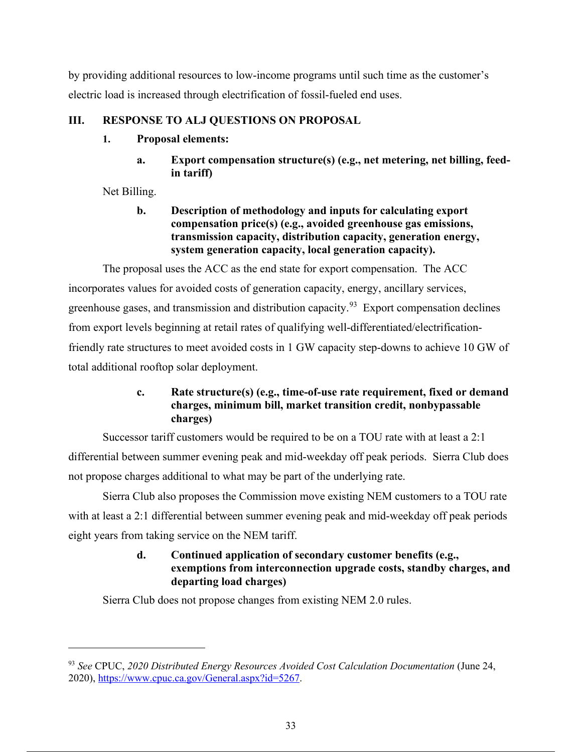by providing additional resources to low-income programs until such time as the customer's electric load is increased through electrification of fossil-fueled end uses.

## **III. RESPONSE TO ALJ QUESTIONS ON PROPOSAL**

## **1. Proposal elements:**

**a. Export compensation structure(s) (e.g., net metering, net billing, feedin tariff)**

Net Billing.

## **b. Description of methodology and inputs for calculating export compensation price(s) (e.g., avoided greenhouse gas emissions, transmission capacity, distribution capacity, generation energy, system generation capacity, local generation capacity).**

The proposal uses the ACC as the end state for export compensation. The ACC incorporates values for avoided costs of generation capacity, energy, ancillary services, greenhouse gases, and transmission and distribution capacity.<sup>93</sup> Export compensation declines from export levels beginning at retail rates of qualifying well-differentiated/electrificationfriendly rate structures to meet avoided costs in 1 GW capacity step-downs to achieve 10 GW of total additional rooftop solar deployment.

## **c. Rate structure(s) (e.g., time-of-use rate requirement, fixed or demand charges, minimum bill, market transition credit, nonbypassable charges)**

Successor tariff customers would be required to be on a TOU rate with at least a 2:1 differential between summer evening peak and mid-weekday off peak periods. Sierra Club does not propose charges additional to what may be part of the underlying rate.

Sierra Club also proposes the Commission move existing NEM customers to a TOU rate with at least a 2:1 differential between summer evening peak and mid-weekday off peak periods eight years from taking service on the NEM tariff.

## **d. Continued application of secondary customer benefits (e.g., exemptions from interconnection upgrade costs, standby charges, and departing load charges)**

Sierra Club does not propose changes from existing NEM 2.0 rules.

<sup>93</sup> *See* CPUC, *2020 Distributed Energy Resources Avoided Cost Calculation Documentation* (June 24, 2020), https://www.cpuc.ca.gov/General.aspx?id=5267.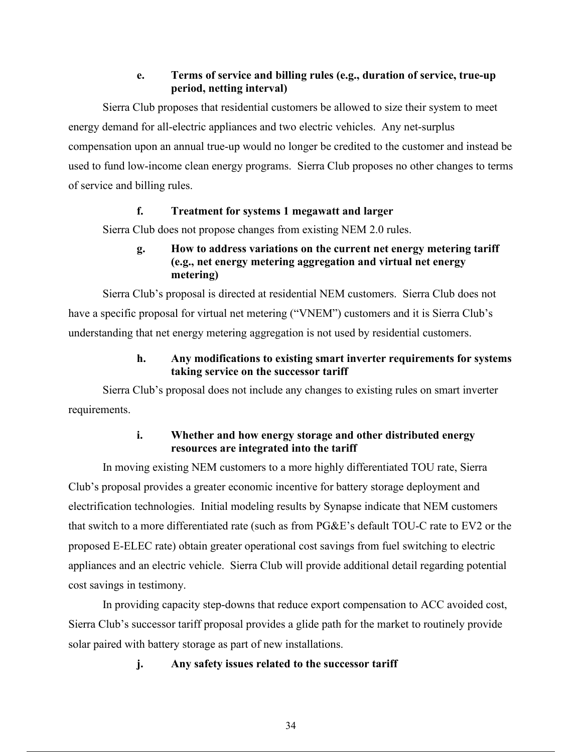### **e. Terms of service and billing rules (e.g., duration of service, true-up period, netting interval)**

Sierra Club proposes that residential customers be allowed to size their system to meet energy demand for all-electric appliances and two electric vehicles. Any net-surplus compensation upon an annual true-up would no longer be credited to the customer and instead be used to fund low-income clean energy programs. Sierra Club proposes no other changes to terms of service and billing rules.

### **f. Treatment for systems 1 megawatt and larger**

Sierra Club does not propose changes from existing NEM 2.0 rules.

## **g. How to address variations on the current net energy metering tariff (e.g., net energy metering aggregation and virtual net energy metering)**

Sierra Club's proposal is directed at residential NEM customers. Sierra Club does not have a specific proposal for virtual net metering ("VNEM") customers and it is Sierra Club's understanding that net energy metering aggregation is not used by residential customers.

## **h. Any modifications to existing smart inverter requirements for systems taking service on the successor tariff**

Sierra Club's proposal does not include any changes to existing rules on smart inverter requirements.

## **i. Whether and how energy storage and other distributed energy resources are integrated into the tariff**

In moving existing NEM customers to a more highly differentiated TOU rate, Sierra Club's proposal provides a greater economic incentive for battery storage deployment and electrification technologies. Initial modeling results by Synapse indicate that NEM customers that switch to a more differentiated rate (such as from PG&E's default TOU-C rate to EV2 or the proposed E-ELEC rate) obtain greater operational cost savings from fuel switching to electric appliances and an electric vehicle. Sierra Club will provide additional detail regarding potential cost savings in testimony.

In providing capacity step-downs that reduce export compensation to ACC avoided cost, Sierra Club's successor tariff proposal provides a glide path for the market to routinely provide solar paired with battery storage as part of new installations.

## **j. Any safety issues related to the successor tariff**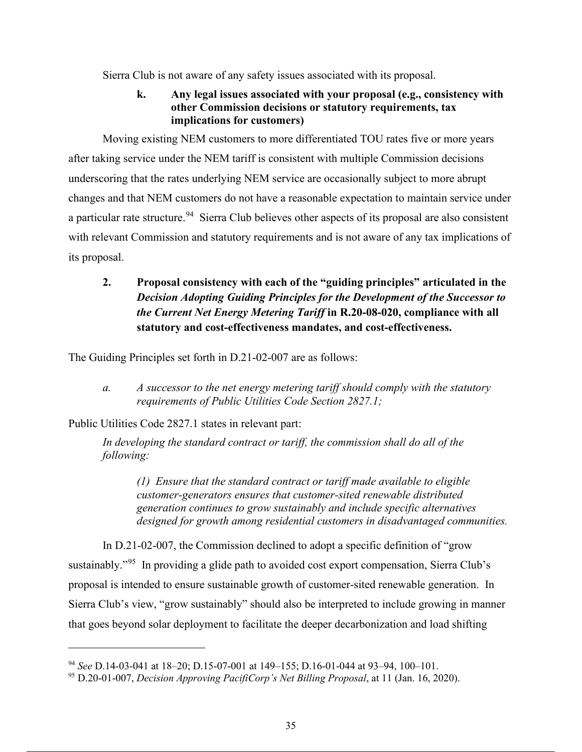Sierra Club is not aware of any safety issues associated with its proposal.

## **k. Any legal issues associated with your proposal (e.g., consistency with other Commission decisions or statutory requirements, tax implications for customers)**

Moving existing NEM customers to more differentiated TOU rates five or more years after taking service under the NEM tariff is consistent with multiple Commission decisions underscoring that the rates underlying NEM service are occasionally subject to more abrupt changes and that NEM customers do not have a reasonable expectation to maintain service under a particular rate structure.<sup>94</sup> Sierra Club believes other aspects of its proposal are also consistent with relevant Commission and statutory requirements and is not aware of any tax implications of its proposal.

## **2. Proposal consistency with each of the "guiding principles" articulated in the**  *Decision Adopting Guiding Principles for the Development of the Successor to the Current Net Energy Metering Tariff* **in R.20-08-020, compliance with all statutory and cost-effectiveness mandates, and cost-effectiveness.**

The Guiding Principles set forth in D.21-02-007 are as follows:

*a. A successor to the net energy metering tariff should comply with the statutory requirements of Public Utilities Code Section 2827.1;* 

Public Utilities Code 2827.1 states in relevant part:

*In developing the standard contract or tariff, the commission shall do all of the following:* 

*(1) Ensure that the standard contract or tariff made available to eligible customer-generators ensures that customer-sited renewable distributed generation continues to grow sustainably and include specific alternatives designed for growth among residential customers in disadvantaged communities.* 

In D.21-02-007, the Commission declined to adopt a specific definition of "grow sustainably."<sup>95</sup> In providing a glide path to avoided cost export compensation, Sierra Club's proposal is intended to ensure sustainable growth of customer-sited renewable generation. In Sierra Club's view, "grow sustainably" should also be interpreted to include growing in manner that goes beyond solar deployment to facilitate the deeper decarbonization and load shifting

<sup>94</sup> *See* D.14-03-041 at 18–20; D.15-07-001 at 149–155; D.16-01-044 at 93–94, 100–101.

<sup>95</sup> D.20-01-007, *Decision Approving PacifiCorp's Net Billing Proposal*, at 11 (Jan. 16, 2020).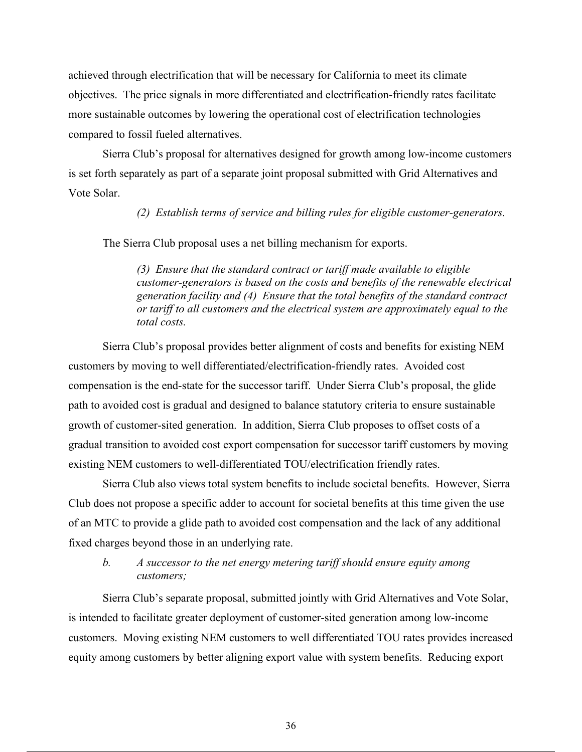achieved through electrification that will be necessary for California to meet its climate objectives. The price signals in more differentiated and electrification-friendly rates facilitate more sustainable outcomes by lowering the operational cost of electrification technologies compared to fossil fueled alternatives.

Sierra Club's proposal for alternatives designed for growth among low-income customers is set forth separately as part of a separate joint proposal submitted with Grid Alternatives and Vote Solar.

*(2) Establish terms of service and billing rules for eligible customer-generators.* 

The Sierra Club proposal uses a net billing mechanism for exports.

*(3) Ensure that the standard contract or tariff made available to eligible customer-generators is based on the costs and benefits of the renewable electrical generation facility and (4) Ensure that the total benefits of the standard contract or tariff to all customers and the electrical system are approximately equal to the total costs.*

 Sierra Club's proposal provides better alignment of costs and benefits for existing NEM customers by moving to well differentiated/electrification-friendly rates. Avoided cost compensation is the end-state for the successor tariff. Under Sierra Club's proposal, the glide path to avoided cost is gradual and designed to balance statutory criteria to ensure sustainable growth of customer-sited generation. In addition, Sierra Club proposes to offset costs of a gradual transition to avoided cost export compensation for successor tariff customers by moving existing NEM customers to well-differentiated TOU/electrification friendly rates.

Sierra Club also views total system benefits to include societal benefits. However, Sierra Club does not propose a specific adder to account for societal benefits at this time given the use of an MTC to provide a glide path to avoided cost compensation and the lack of any additional fixed charges beyond those in an underlying rate.

### *b. A successor to the net energy metering tariff should ensure equity among customers;*

Sierra Club's separate proposal, submitted jointly with Grid Alternatives and Vote Solar, is intended to facilitate greater deployment of customer-sited generation among low-income customers. Moving existing NEM customers to well differentiated TOU rates provides increased equity among customers by better aligning export value with system benefits. Reducing export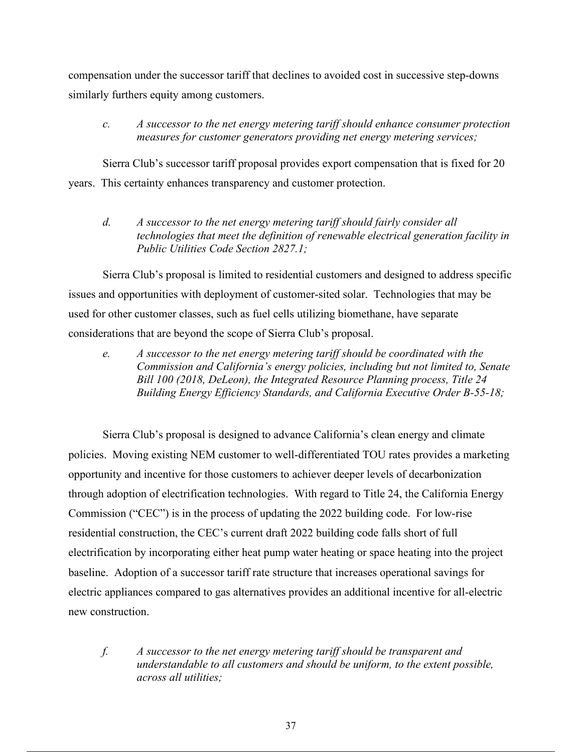compensation under the successor tariff that declines to avoided cost in successive step-downs similarly furthers equity among customers.

### *c. A successor to the net energy metering tariff should enhance consumer protection measures for customer generators providing net energy metering services;*

Sierra Club's successor tariff proposal provides export compensation that is fixed for 20 years. This certainty enhances transparency and customer protection.

*d. A successor to the net energy metering tariff should fairly consider all technologies that meet the definition of renewable electrical generation facility in Public Utilities Code Section 2827.1;* 

Sierra Club's proposal is limited to residential customers and designed to address specific issues and opportunities with deployment of customer-sited solar. Technologies that may be used for other customer classes, such as fuel cells utilizing biomethane, have separate considerations that are beyond the scope of Sierra Club's proposal.

*e. A successor to the net energy metering tariff should be coordinated with the Commission and California's energy policies, including but not limited to, Senate Bill 100 (2018, DeLeon), the Integrated Resource Planning process, Title 24 Building Energy Efficiency Standards, and California Executive Order B-55-18;* 

Sierra Club's proposal is designed to advance California's clean energy and climate policies. Moving existing NEM customer to well-differentiated TOU rates provides a marketing opportunity and incentive for those customers to achiever deeper levels of decarbonization through adoption of electrification technologies. With regard to Title 24, the California Energy Commission ("CEC") is in the process of updating the 2022 building code. For low-rise residential construction, the CEC's current draft 2022 building code falls short of full electrification by incorporating either heat pump water heating or space heating into the project baseline. Adoption of a successor tariff rate structure that increases operational savings for electric appliances compared to gas alternatives provides an additional incentive for all-electric new construction.

*f. A successor to the net energy metering tariff should be transparent and understandable to all customers and should be uniform, to the extent possible, across all utilities;*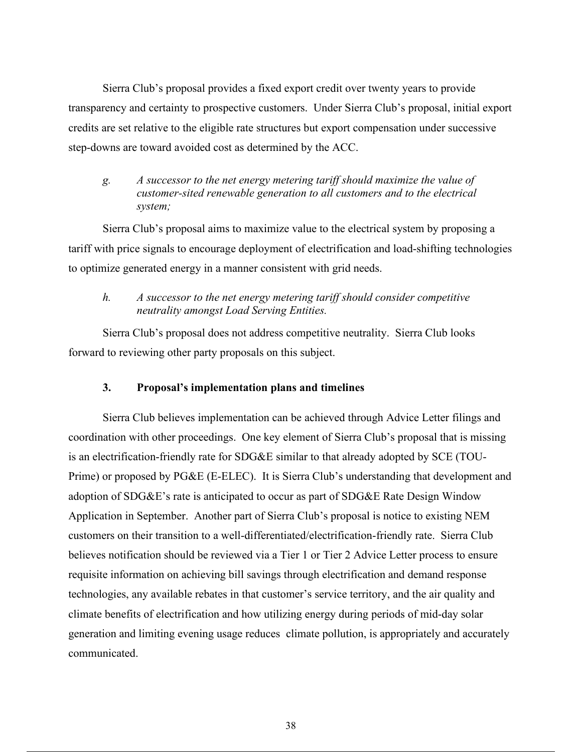Sierra Club's proposal provides a fixed export credit over twenty years to provide transparency and certainty to prospective customers. Under Sierra Club's proposal, initial export credits are set relative to the eligible rate structures but export compensation under successive step-downs are toward avoided cost as determined by the ACC.

### *g. A successor to the net energy metering tariff should maximize the value of customer-sited renewable generation to all customers and to the electrical system;*

Sierra Club's proposal aims to maximize value to the electrical system by proposing a tariff with price signals to encourage deployment of electrification and load-shifting technologies to optimize generated energy in a manner consistent with grid needs.

### *h. A successor to the net energy metering tariff should consider competitive neutrality amongst Load Serving Entities.*

Sierra Club's proposal does not address competitive neutrality. Sierra Club looks forward to reviewing other party proposals on this subject.

### **3. Proposal's implementation plans and timelines**

Sierra Club believes implementation can be achieved through Advice Letter filings and coordination with other proceedings. One key element of Sierra Club's proposal that is missing is an electrification-friendly rate for SDG&E similar to that already adopted by SCE (TOU-Prime) or proposed by PG&E (E-ELEC). It is Sierra Club's understanding that development and adoption of SDG&E's rate is anticipated to occur as part of SDG&E Rate Design Window Application in September. Another part of Sierra Club's proposal is notice to existing NEM customers on their transition to a well-differentiated/electrification-friendly rate. Sierra Club believes notification should be reviewed via a Tier 1 or Tier 2 Advice Letter process to ensure requisite information on achieving bill savings through electrification and demand response technologies, any available rebates in that customer's service territory, and the air quality and climate benefits of electrification and how utilizing energy during periods of mid-day solar generation and limiting evening usage reduces climate pollution, is appropriately and accurately communicated.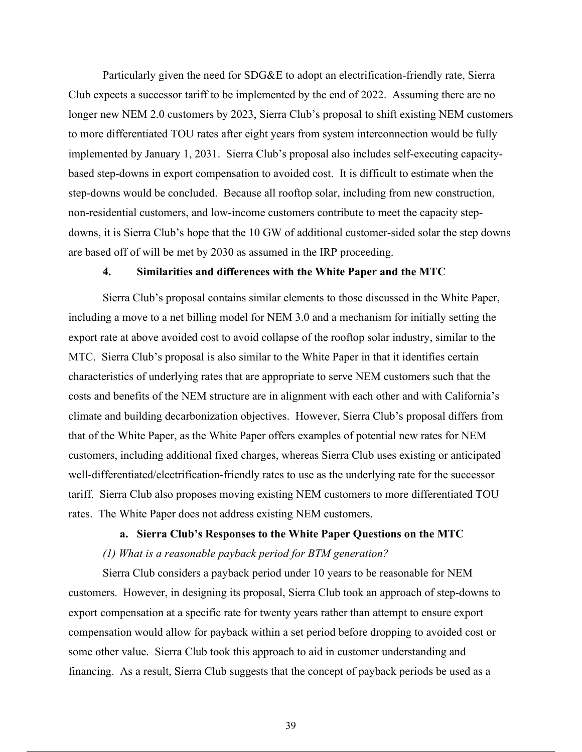Particularly given the need for SDG&E to adopt an electrification-friendly rate, Sierra Club expects a successor tariff to be implemented by the end of 2022. Assuming there are no longer new NEM 2.0 customers by 2023, Sierra Club's proposal to shift existing NEM customers to more differentiated TOU rates after eight years from system interconnection would be fully implemented by January 1, 2031. Sierra Club's proposal also includes self-executing capacitybased step-downs in export compensation to avoided cost. It is difficult to estimate when the step-downs would be concluded. Because all rooftop solar, including from new construction, non-residential customers, and low-income customers contribute to meet the capacity stepdowns, it is Sierra Club's hope that the 10 GW of additional customer-sided solar the step downs are based off of will be met by 2030 as assumed in the IRP proceeding.

### **4. Similarities and differences with the White Paper and the MTC**

Sierra Club's proposal contains similar elements to those discussed in the White Paper, including a move to a net billing model for NEM 3.0 and a mechanism for initially setting the export rate at above avoided cost to avoid collapse of the rooftop solar industry, similar to the MTC. Sierra Club's proposal is also similar to the White Paper in that it identifies certain characteristics of underlying rates that are appropriate to serve NEM customers such that the costs and benefits of the NEM structure are in alignment with each other and with California's climate and building decarbonization objectives. However, Sierra Club's proposal differs from that of the White Paper, as the White Paper offers examples of potential new rates for NEM customers, including additional fixed charges, whereas Sierra Club uses existing or anticipated well-differentiated/electrification-friendly rates to use as the underlying rate for the successor tariff. Sierra Club also proposes moving existing NEM customers to more differentiated TOU rates. The White Paper does not address existing NEM customers.

### **a. Sierra Club's Responses to the White Paper Questions on the MTC**

#### *(1) What is a reasonable payback period for BTM generation?*

Sierra Club considers a payback period under 10 years to be reasonable for NEM customers. However, in designing its proposal, Sierra Club took an approach of step-downs to export compensation at a specific rate for twenty years rather than attempt to ensure export compensation would allow for payback within a set period before dropping to avoided cost or some other value. Sierra Club took this approach to aid in customer understanding and financing. As a result, Sierra Club suggests that the concept of payback periods be used as a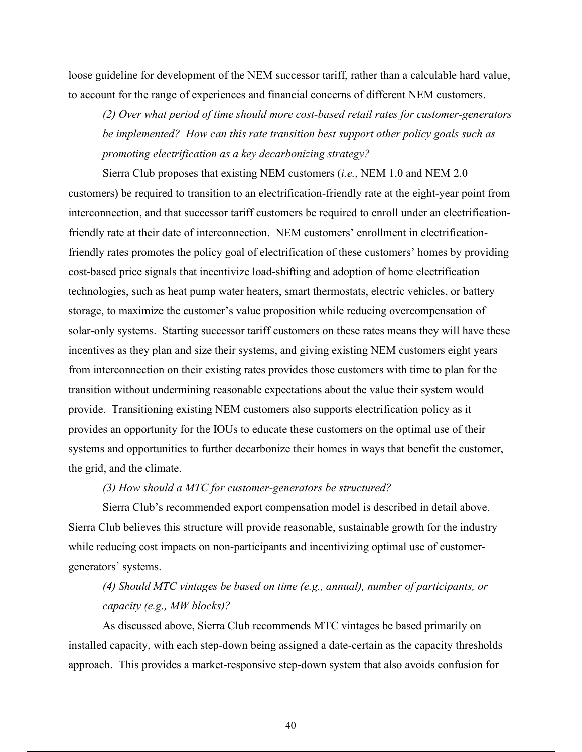loose guideline for development of the NEM successor tariff, rather than a calculable hard value, to account for the range of experiences and financial concerns of different NEM customers.

*(2) Over what period of time should more cost-based retail rates for customer-generators be implemented? How can this rate transition best support other policy goals such as promoting electrification as a key decarbonizing strategy?* 

Sierra Club proposes that existing NEM customers (*i.e.*, NEM 1.0 and NEM 2.0 customers) be required to transition to an electrification-friendly rate at the eight-year point from interconnection, and that successor tariff customers be required to enroll under an electrificationfriendly rate at their date of interconnection. NEM customers' enrollment in electrificationfriendly rates promotes the policy goal of electrification of these customers' homes by providing cost-based price signals that incentivize load-shifting and adoption of home electrification technologies, such as heat pump water heaters, smart thermostats, electric vehicles, or battery storage, to maximize the customer's value proposition while reducing overcompensation of solar-only systems. Starting successor tariff customers on these rates means they will have these incentives as they plan and size their systems, and giving existing NEM customers eight years from interconnection on their existing rates provides those customers with time to plan for the transition without undermining reasonable expectations about the value their system would provide. Transitioning existing NEM customers also supports electrification policy as it provides an opportunity for the IOUs to educate these customers on the optimal use of their systems and opportunities to further decarbonize their homes in ways that benefit the customer, the grid, and the climate.

### *(3) How should a MTC for customer-generators be structured?*

Sierra Club's recommended export compensation model is described in detail above. Sierra Club believes this structure will provide reasonable, sustainable growth for the industry while reducing cost impacts on non-participants and incentivizing optimal use of customergenerators' systems.

# *(4) Should MTC vintages be based on time (e.g., annual), number of participants, or capacity (e.g., MW blocks)?*

As discussed above, Sierra Club recommends MTC vintages be based primarily on installed capacity, with each step-down being assigned a date-certain as the capacity thresholds approach. This provides a market-responsive step-down system that also avoids confusion for